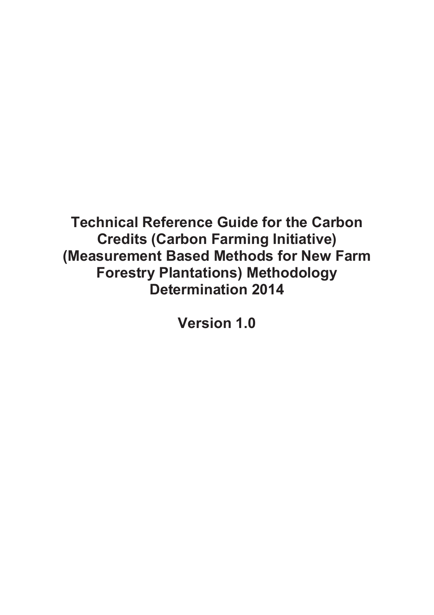**Technical Reference Guide for the Carbon Credits (Carbon Farming Initiative) (Measurement Based Methods for New Farm Forestry Plantations) Methodology Determination 2014** 

**Version 1.0**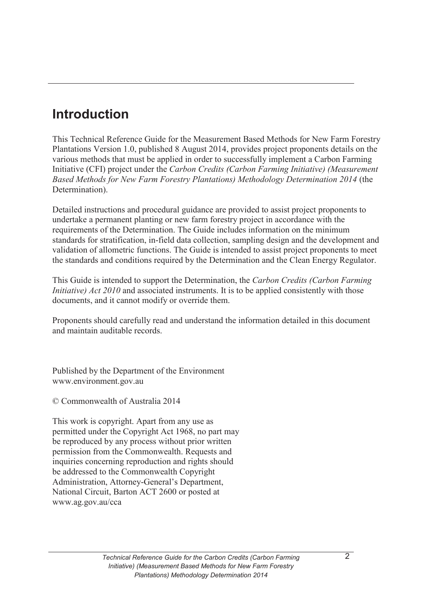# **Introduction**

This Technical Reference Guide for the Measurement Based Methods for New Farm Forestry Plantations Version 1.0, published 8 August 2014, provides project proponents details on the various methods that must be applied in order to successfully implement a Carbon Farming Initiative (CFI) project under the *Carbon Credits (Carbon Farming Initiative) (Measurement Based Methods for New Farm Forestry Plantations) Methodology Determination 2014* (the Determination).

Detailed instructions and procedural guidance are provided to assist project proponents to undertake a permanent planting or new farm forestry project in accordance with the requirements of the Determination. The Guide includes information on the minimum standards for stratification, in-field data collection, sampling design and the development and validation of allometric functions. The Guide is intended to assist project proponents to meet the standards and conditions required by the Determination and the Clean Energy Regulator.

This Guide is intended to support the Determination, the *Carbon Credits (Carbon Farming Initiative) Act 2010* and associated instruments. It is to be applied consistently with those documents, and it cannot modify or override them.

Proponents should carefully read and understand the information detailed in this document and maintain auditable records.

Published by the Department of the Environment www.environment.gov.au

© Commonwealth of Australia 2014

This work is copyright. Apart from any use as permitted under the Copyright Act 1968, no part may be reproduced by any process without prior written permission from the Commonwealth. Requests and inquiries concerning reproduction and rights should be addressed to the Commonwealth Copyright Administration, Attorney-General's Department, National Circuit, Barton ACT 2600 or posted at www.ag.gov.au/cca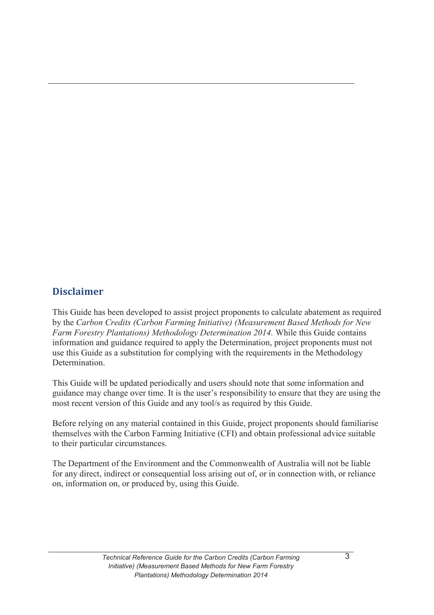## **Disclaimer**

This Guide has been developed to assist project proponents to calculate abatement as required by the *Carbon Credits (Carbon Farming Initiative) (Measurement Based Methods for New Farm Forestry Plantations) Methodology Determination 2014.* While this Guide contains information and guidance required to apply the Determination, project proponents must not use this Guide as a substitution for complying with the requirements in the Methodology Determination.

This Guide will be updated periodically and users should note that some information and guidance may change over time. It is the user's responsibility to ensure that they are using the most recent version of this Guide and any tool/s as required by this Guide.

Before relying on any material contained in this Guide, project proponents should familiarise themselves with the Carbon Farming Initiative (CFI) and obtain professional advice suitable to their particular circumstances.

The Department of the Environment and the Commonwealth of Australia will not be liable for any direct, indirect or consequential loss arising out of, or in connection with, or reliance on, information on, or produced by, using this Guide.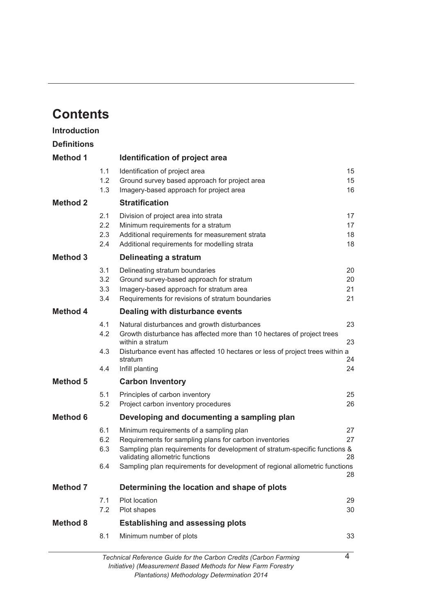## **Contents**

| <b>Introduction</b> |                                       |                                                                                                                                                                                                                                                                                                   |                      |
|---------------------|---------------------------------------|---------------------------------------------------------------------------------------------------------------------------------------------------------------------------------------------------------------------------------------------------------------------------------------------------|----------------------|
| <b>Definitions</b>  |                                       |                                                                                                                                                                                                                                                                                                   |                      |
| <b>Method 1</b>     |                                       | Identification of project area                                                                                                                                                                                                                                                                    |                      |
|                     | 1.1<br>1.2<br>1.3                     | Identification of project area<br>Ground survey based approach for project area<br>Imagery-based approach for project area                                                                                                                                                                        | 15<br>15<br>16       |
| <b>Method 2</b>     |                                       | <b>Stratification</b>                                                                                                                                                                                                                                                                             |                      |
|                     | 2.1<br>$2.2\phantom{0}$<br>2.3<br>2.4 | Division of project area into strata<br>Minimum requirements for a stratum<br>Additional requirements for measurement strata<br>Additional requirements for modelling strata                                                                                                                      | 17<br>17<br>18<br>18 |
| <b>Method 3</b>     |                                       | Delineating a stratum                                                                                                                                                                                                                                                                             |                      |
|                     | 3.1<br>3.2<br>3.3<br>3.4              | Delineating stratum boundaries<br>Ground survey-based approach for stratum<br>Imagery-based approach for stratum area<br>Requirements for revisions of stratum boundaries                                                                                                                         | 20<br>20<br>21<br>21 |
| <b>Method 4</b>     |                                       | Dealing with disturbance events                                                                                                                                                                                                                                                                   |                      |
|                     | 4.1<br>4.2                            | Natural disturbances and growth disturbances<br>Growth disturbance has affected more than 10 hectares of project trees<br>within a stratum                                                                                                                                                        | 23<br>23             |
|                     | 4.3                                   | Disturbance event has affected 10 hectares or less of project trees within a<br>stratum                                                                                                                                                                                                           | 24                   |
| <b>Method 5</b>     | 4.4                                   | Infill planting                                                                                                                                                                                                                                                                                   | 24                   |
|                     | 5.1<br>5.2                            | <b>Carbon Inventory</b><br>Principles of carbon inventory<br>Project carbon inventory procedures                                                                                                                                                                                                  | 25<br>26             |
| <b>Method 6</b>     |                                       | Developing and documenting a sampling plan                                                                                                                                                                                                                                                        |                      |
|                     | 6.1<br>6.2<br>6.3<br>6.4              | Minimum requirements of a sampling plan<br>Requirements for sampling plans for carbon inventories<br>Sampling plan requirements for development of stratum-specific functions &<br>validating allometric functions<br>Sampling plan requirements for development of regional allometric functions | 27<br>27<br>28<br>28 |
| <b>Method 7</b>     |                                       | Determining the location and shape of plots                                                                                                                                                                                                                                                       |                      |
|                     | 7.1<br>7.2                            | Plot location<br>Plot shapes                                                                                                                                                                                                                                                                      | 29<br>30             |
| <b>Method 8</b>     |                                       | <b>Establishing and assessing plots</b>                                                                                                                                                                                                                                                           |                      |
|                     | 8.1                                   | Minimum number of plots                                                                                                                                                                                                                                                                           | 33                   |
|                     |                                       | Technical Reference Guide for the Carbon Credits (Carbon Farming                                                                                                                                                                                                                                  | 4                    |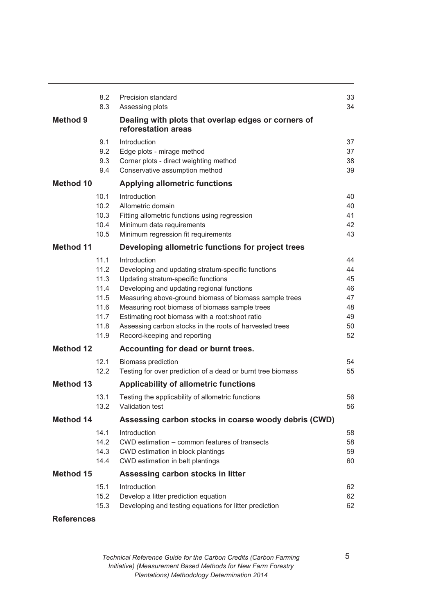|                  | 8.2          | Precision standard                                                                                                   | 33       |
|------------------|--------------|----------------------------------------------------------------------------------------------------------------------|----------|
|                  | 8.3          | Assessing plots                                                                                                      | 34       |
| <b>Method 9</b>  |              | Dealing with plots that overlap edges or corners of<br>reforestation areas                                           |          |
|                  | 9.1          | Introduction                                                                                                         | 37       |
|                  | 9.2          | Edge plots - mirage method                                                                                           | 37       |
|                  | 9.3          | Corner plots - direct weighting method                                                                               | 38       |
|                  | 9.4          | Conservative assumption method                                                                                       | 39       |
| <b>Method 10</b> |              | <b>Applying allometric functions</b>                                                                                 |          |
|                  | 10.1         | Introduction                                                                                                         | 40       |
|                  | 10.2         | Allometric domain                                                                                                    | 40       |
|                  | 10.3         | Fitting allometric functions using regression                                                                        | 41       |
|                  | 10.4         | Minimum data requirements                                                                                            | 42       |
|                  | 10.5         | Minimum regression fit requirements                                                                                  | 43       |
| <b>Method 11</b> |              | Developing allometric functions for project trees                                                                    |          |
|                  | 11.1         | Introduction                                                                                                         | 44       |
|                  | 11.2         | Developing and updating stratum-specific functions                                                                   | 44       |
|                  | 11.3         | Updating stratum-specific functions                                                                                  | 45       |
|                  | 11.4         | Developing and updating regional functions                                                                           | 46       |
|                  | 11.5         | Measuring above-ground biomass of biomass sample trees                                                               | 47       |
|                  | 11.6         | Measuring root biomass of biomass sample trees                                                                       | 48       |
|                  | 11.7         | Estimating root biomass with a root: shoot ratio                                                                     | 49       |
|                  | 11.8         | Assessing carbon stocks in the roots of harvested trees                                                              | 50       |
|                  | 11.9         | Record-keeping and reporting                                                                                         | 52       |
| <b>Method 12</b> |              | Accounting for dead or burnt trees.                                                                                  |          |
|                  | 12.1         | <b>Biomass prediction</b>                                                                                            | 54       |
|                  | 12.2         | Testing for over prediction of a dead or burnt tree biomass                                                          | 55       |
| Method 13        | 13.1<br>13.2 | <b>Applicability of allometric functions</b><br>Testing the applicability of allometric functions<br>Validation test | 56<br>56 |
| Method 14        |              | Assessing carbon stocks in coarse woody debris (CWD)                                                                 |          |
|                  | 14.1         | Introduction                                                                                                         | 58       |
|                  | 14.2         | CWD estimation – common features of transects                                                                        | 58       |
|                  | 14.3         | CWD estimation in block plantings                                                                                    | 59       |
|                  | 14.4         | CWD estimation in belt plantings                                                                                     | 60       |
| Method 15        |              | Assessing carbon stocks in litter                                                                                    |          |
|                  | 15.1         | Introduction                                                                                                         | 62       |
|                  | 15.2         | Develop a litter prediction equation                                                                                 | 62       |
|                  | 15.3         | Developing and testing equations for litter prediction                                                               | 62       |

#### **References**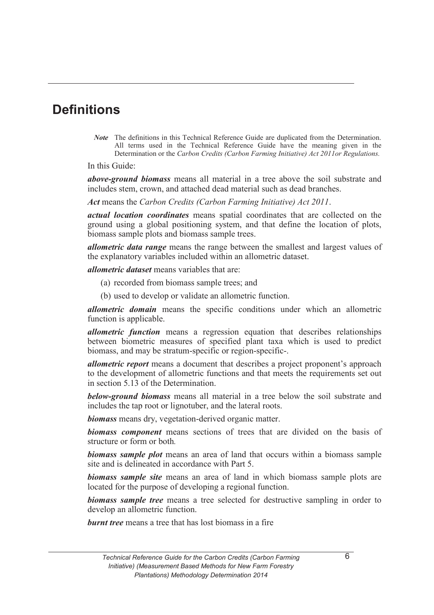## **Definitions**

*Note* The definitions in this Technical Reference Guide are duplicated from the Determination. All terms used in the Technical Reference Guide have the meaning given in the Determination or the *Carbon Credits (Carbon Farming Initiative) Act 2011or Regulations.*

In this Guide:

*above-ground biomass* means all material in a tree above the soil substrate and includes stem, crown, and attached dead material such as dead branches.

*Act* means the *Carbon Credits (Carbon Farming Initiative) Act 2011*.

*actual location coordinates* means spatial coordinates that are collected on the ground using a global positioning system, and that define the location of plots, biomass sample plots and biomass sample trees.

*allometric data range* means the range between the smallest and largest values of the explanatory variables included within an allometric dataset.

*allometric dataset* means variables that are:

- (a) recorded from biomass sample trees; and
- (b) used to develop or validate an allometric function.

*allometric domain* means the specific conditions under which an allometric function is applicable.

*allometric function* means a regression equation that describes relationships between biometric measures of specified plant taxa which is used to predict biomass, and may be stratum-specific or region-specific-.

*allometric report* means a document that describes a project proponent's approach to the development of allometric functions and that meets the requirements set out in section 5.13 of the Determination.

*below-ground biomass* means all material in a tree below the soil substrate and includes the tap root or lignotuber, and the lateral roots.

*biomass* means dry, vegetation-derived organic matter.

*biomass component* means sections of trees that are divided on the basis of structure or form or both*.*

*biomass sample plot* means an area of land that occurs within a biomass sample site and is delineated in accordance with Part 5.

*biomass sample site* means an area of land in which biomass sample plots are located for the purpose of developing a regional function.

*biomass sample tree* means a tree selected for destructive sampling in order to develop an allometric function.

*burnt tree* means a tree that has lost biomass in a fire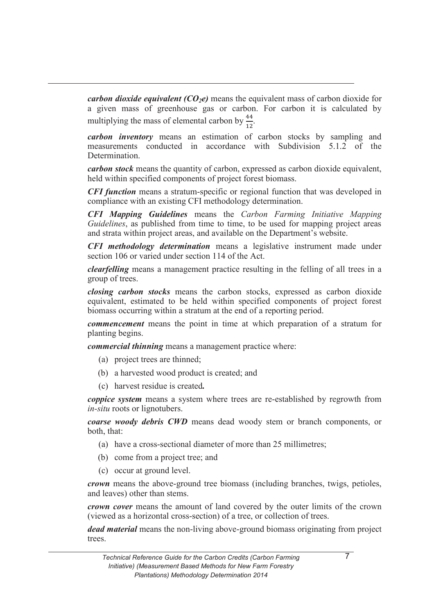*carbon dioxide equivalent (CO<sub>2</sub>e)* means the equivalent mass of carbon dioxide for a given mass of greenhouse gas or carbon. For carbon it is calculated by multiplying the mass of elemental carbon by  $\frac{44}{12}$ .

*carbon inventory* means an estimation of carbon stocks by sampling and measurements conducted in accordance with Subdivision 5.1.2 of the Determination.

*carbon stock* means the quantity of carbon, expressed as carbon dioxide equivalent, held within specified components of project forest biomass.

*CFI function* means a stratum-specific or regional function that was developed in compliance with an existing CFI methodology determination.

*CFI Mapping Guidelines* means the *Carbon Farming Initiative Mapping Guidelines*, as published from time to time, to be used for mapping project areas and strata within project areas, and available on the Department's website.

*CFI methodology determination* means a legislative instrument made under section 106 or varied under section 114 of the Act.

*clearfelling* means a management practice resulting in the felling of all trees in a group of trees.

*closing carbon stocks* means the carbon stocks, expressed as carbon dioxide equivalent, estimated to be held within specified components of project forest biomass occurring within a stratum at the end of a reporting period.

*commencement* means the point in time at which preparation of a stratum for planting begins.

*commercial thinning* means a management practice where:

- (a) project trees are thinned;
- (b) a harvested wood product is created; and
- (c) harvest residue is created*.*

*coppice system* means a system where trees are re-established by regrowth from *in-situ* roots or lignotubers.

*coarse woody debris CWD* means dead woody stem or branch components, or both, that:

- (a) have a cross-sectional diameter of more than 25 millimetres;
- (b) come from a project tree; and
- (c) occur at ground level.

*crown* means the above-ground tree biomass (including branches, twigs, petioles, and leaves) other than stems.

*crown cover* means the amount of land covered by the outer limits of the crown (viewed as a horizontal cross-section) of a tree, or collection of trees.

*dead material* means the non-living above-ground biomass originating from project trees.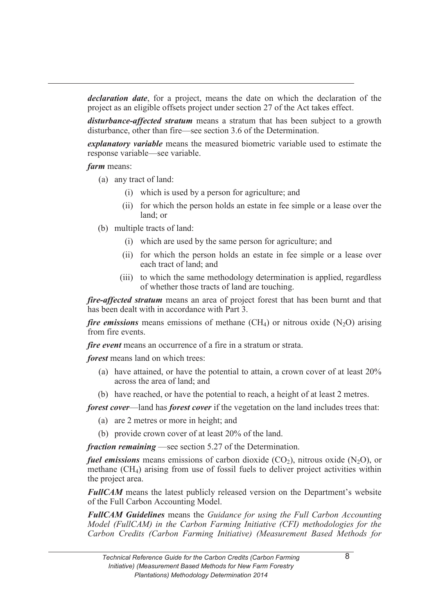*declaration date*, for a project, means the date on which the declaration of the project as an eligible offsets project under section 27 of the Act takes effect.

*disturbance-affected stratum* means a stratum that has been subject to a growth disturbance, other than fire—see section 3.6 of the Determination.

*explanatory variable* means the measured biometric variable used to estimate the response variable—see variable.

*farm* means:

- (a) any tract of land:
	- (i) which is used by a person for agriculture; and
	- (ii) for which the person holds an estate in fee simple or a lease over the land; or
- (b) multiple tracts of land:
	- (i) which are used by the same person for agriculture; and
	- (ii) for which the person holds an estate in fee simple or a lease over each tract of land; and
	- (iii) to which the same methodology determination is applied, regardless of whether those tracts of land are touching.

*fire-affected stratum* means an area of project forest that has been burnt and that has been dealt with in accordance with Part 3.

*fire emissions* means emissions of methane  $(CH_4)$  or nitrous oxide  $(N_2O)$  arising from fire events.

*fire event* means an occurrence of a fire in a stratum or strata.

*forest* means land on which trees:

- (a) have attained, or have the potential to attain, a crown cover of at least 20% across the area of land; and
- (b) have reached, or have the potential to reach, a height of at least 2 metres.

*forest cover*—land has *forest cover* if the vegetation on the land includes trees that:

- (a) are 2 metres or more in height; and
- (b) provide crown cover of at least 20% of the land.

*fraction remaining* —see section 5.27 of the Determination.

*fuel emissions* means emissions of carbon dioxide  $(CO<sub>2</sub>)$ , nitrous oxide  $(N<sub>2</sub>O)$ , or methane (CH4) arising from use of fossil fuels to deliver project activities within the project area.

*FullCAM* means the latest publicly released version on the Department's website of the Full Carbon Accounting Model.

*FullCAM Guidelines* means the *Guidance for using the Full Carbon Accounting Model (FullCAM) in the Carbon Farming Initiative (CFI) methodologies for the Carbon Credits (Carbon Farming Initiative) (Measurement Based Methods for*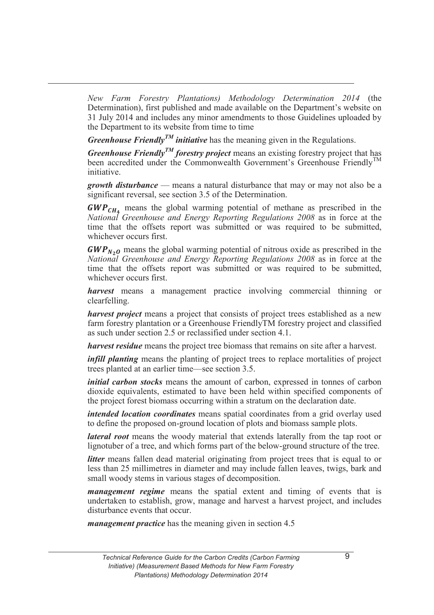*New Farm Forestry Plantations) Methodology Determination 2014* (the Determination), first published and made available on the Department's website on 31 July 2014 and includes any minor amendments to those Guidelines uploaded by the Department to its website from time to time

*Greenhouse FriendlyTM initiative* has the meaning given in the Regulations.

*Greenhouse Friendly<sup>TM</sup> forestry project* means an existing forestry project that has been accredited under the Commonwealth Government's Greenhouse Friendly<sup>TM</sup> initiative.

*growth disturbance* — means a natural disturbance that may or may not also be a significant reversal, see section 3.5 of the Determination.

 $GWP<sub>CH4</sub>$  means the global warming potential of methane as prescribed in the *National Greenhouse and Energy Reporting Regulations 2008* as in force at the time that the offsets report was submitted or was required to be submitted, whichever occurs first.

 $GWP_{N<sub>2</sub>}$  means the global warming potential of nitrous oxide as prescribed in the *National Greenhouse and Energy Reporting Regulations 2008* as in force at the time that the offsets report was submitted or was required to be submitted, whichever occurs first.

*harvest* means a management practice involving commercial thinning or clearfelling.

*harvest project* means a project that consists of project trees established as a new farm forestry plantation or a Greenhouse FriendlyTM forestry project and classified as such under section 2.5 or reclassified under section 4.1.

*harvest residue* means the project tree biomass that remains on site after a harvest.

*infill planting* means the planting of project trees to replace mortalities of project trees planted at an earlier time—see section 3.5.

*initial carbon stocks* means the amount of carbon, expressed in tonnes of carbon dioxide equivalents, estimated to have been held within specified components of the project forest biomass occurring within a stratum on the declaration date.

*intended location coordinates* means spatial coordinates from a grid overlay used to define the proposed on-ground location of plots and biomass sample plots.

*lateral root* means the woody material that extends laterally from the tap root or lignotuber of a tree, and which forms part of the below-ground structure of the tree.

*litter* means fallen dead material originating from project trees that is equal to or less than 25 millimetres in diameter and may include fallen leaves, twigs, bark and small woody stems in various stages of decomposition.

*management regime* means the spatial extent and timing of events that is undertaken to establish, grow, manage and harvest a harvest project, and includes disturbance events that occur.

*management practice* has the meaning given in section 4.5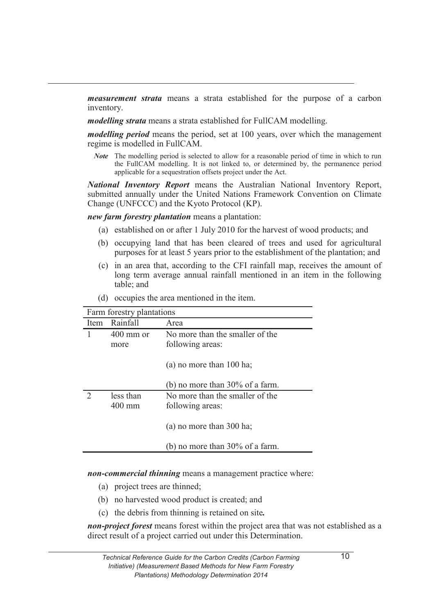*measurement strata* means a strata established for the purpose of a carbon inventory.

*modelling strata* means a strata established for FullCAM modelling.

*modelling period* means the period, set at 100 years, over which the management regime is modelled in FullCAM.

*Note* The modelling period is selected to allow for a reasonable period of time in which to run the FullCAM modelling. It is not linked to, or determined by, the permanence period applicable for a sequestration offsets project under the Act.

*National Inventory Report* means the Australian National Inventory Report, submitted annually under the United Nations Framework Convention on Climate Change (UNFCCC) and the Kyoto Protocol (KP).

*new farm forestry plantation* means a plantation:

- (a) established on or after 1 July 2010 for the harvest of wood products; and
- (b) occupying land that has been cleared of trees and used for agricultural purposes for at least 5 years prior to the establishment of the plantation; and
- (c) in an area that, according to the CFI rainfall map, receives the amount of long term average annual rainfall mentioned in an item in the following table; and

| Farm forestry plantations |                                    |                                    |  |  |
|---------------------------|------------------------------------|------------------------------------|--|--|
| Item                      | Rainfall                           | Area                               |  |  |
|                           | $400$ mm or                        | No more than the smaller of the    |  |  |
|                           | more                               | following areas:                   |  |  |
|                           |                                    | (a) no more than $100$ ha;         |  |  |
|                           |                                    | (b) no more than $30\%$ of a farm. |  |  |
|                           | less than                          | No more than the smaller of the    |  |  |
|                           | $400 \text{ mm}$                   | following areas:                   |  |  |
|                           |                                    | $(a)$ no more than 300 ha;         |  |  |
|                           | (b) no more than $30\%$ of a farm. |                                    |  |  |

(d) occupies the area mentioned in the item.

*non-commercial thinning* means a management practice where:

- (a) project trees are thinned;
- (b) no harvested wood product is created; and
- (c) the debris from thinning is retained on site*.*

*non-project forest* means forest within the project area that was not established as a direct result of a project carried out under this Determination.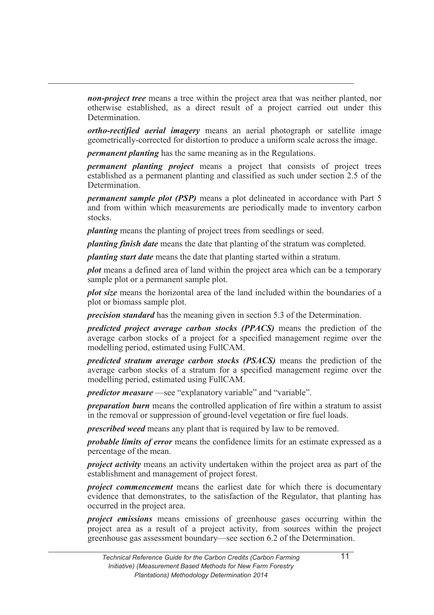*non-project tree* means a tree within the project area that was neither planted, nor otherwise established, as a direct result of a project carried out under this **Determination** 

*ortho-rectified aerial imagery* means an aerial photograph or satellite image geometrically-corrected for distortion to produce a uniform scale across the image.

*permanent planting* has the same meaning as in the Regulations.

*permanent planting project* means a project that consists of project trees established as a permanent planting and classified as such under section 2.5 of the **Determination** 

*permanent sample plot (PSP)* means a plot delineated in accordance with Part 5 and from within which measurements are periodically made to inventory carbon stocks.

*planting* means the planting of project trees from seedlings or seed.

*planting finish date* means the date that planting of the stratum was completed.

*planting start date* means the date that planting started within a stratum.

*plot* means a defined area of land within the project area which can be a temporary sample plot or a permanent sample plot.

*plot size* means the horizontal area of the land included within the boundaries of a plot or biomass sample plot.

*precision standard* has the meaning given in section 5.3 of the Determination.

*predicted project average carbon stocks (PPACS)* means the prediction of the average carbon stocks of a project for a specified management regime over the modelling period, estimated using FullCAM.

*predicted stratum average carbon stocks (PSACS)* means the prediction of the average carbon stocks of a stratum for a specified management regime over the modelling period, estimated using FullCAM.

*predictor measure* —see "explanatory variable" and "variable".

*preparation burn* means the controlled application of fire within a stratum to assist in the removal or suppression of ground-level vegetation or fire fuel loads.

*prescribed weed* means any plant that is required by law to be removed.

*probable limits of error* means the confidence limits for an estimate expressed as a percentage of the mean.

*project activity* means an activity undertaken within the project area as part of the establishment and management of project forest.

*project commencement* means the earliest date for which there is documentary evidence that demonstrates, to the satisfaction of the Regulator, that planting has occurred in the project area.

*project emissions* means emissions of greenhouse gases occurring within the project area as a result of a project activity, from sources within the project greenhouse gas assessment boundary—see section 6.2 of the Determination.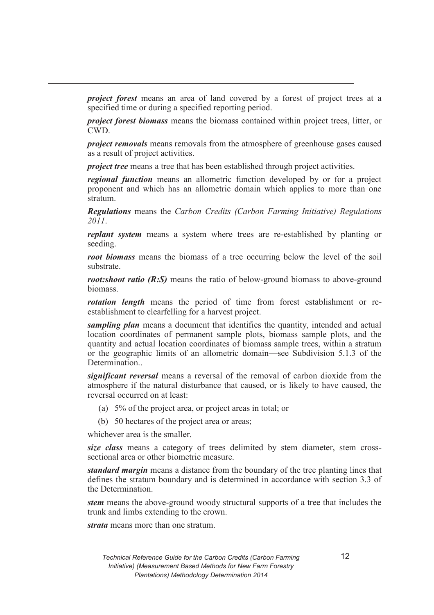*project forest* means an area of land covered by a forest of project trees at a specified time or during a specified reporting period.

*project forest biomass* means the biomass contained within project trees, litter, or CWD.

*project removals* means removals from the atmosphere of greenhouse gases caused as a result of project activities.

*project tree* means a tree that has been established through project activities.

*regional function* means an allometric function developed by or for a project proponent and which has an allometric domain which applies to more than one stratum.

*Regulations* means the *Carbon Credits (Carbon Farming Initiative) Regulations 2011*.

*replant system* means a system where trees are re-established by planting or seeding.

*root biomass* means the biomass of a tree occurring below the level of the soil substrate.

*root:shoot ratio (R:S)* means the ratio of below-ground biomass to above-ground biomass.

*rotation length* means the period of time from forest establishment or reestablishment to clearfelling for a harvest project.

*sampling plan* means a document that identifies the quantity, intended and actual location coordinates of permanent sample plots, biomass sample plots, and the quantity and actual location coordinates of biomass sample trees, within a stratum or the geographic limits of an allometric domain*—*see Subdivision 5.1.3 of the Determination..

*significant reversal* means a reversal of the removal of carbon dioxide from the atmosphere if the natural disturbance that caused, or is likely to have caused, the reversal occurred on at least:

- (a) 5% of the project area, or project areas in total; or
- (b) 50 hectares of the project area or areas;

whichever area is the smaller.

*size class* means a category of trees delimited by stem diameter, stem crosssectional area or other biometric measure.

*standard margin* means a distance from the boundary of the tree planting lines that defines the stratum boundary and is determined in accordance with section 3.3 of the Determination.

*stem* means the above-ground woody structural supports of a tree that includes the trunk and limbs extending to the crown.

*strata* means more than one stratum.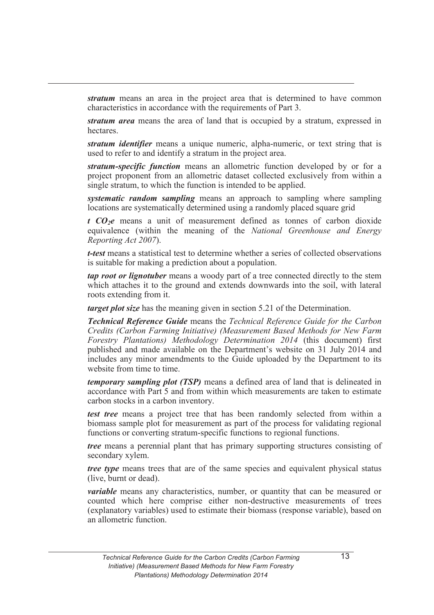*stratum* means an area in the project area that is determined to have common characteristics in accordance with the requirements of Part 3.

*stratum area* means the area of land that is occupied by a stratum, expressed in hectares.

*stratum identifier* means a unique numeric, alpha-numeric, or text string that is used to refer to and identify a stratum in the project area.

*stratum-specific function* means an allometric function developed by or for a project proponent from an allometric dataset collected exclusively from within a single stratum, to which the function is intended to be applied.

*systematic random sampling* means an approach to sampling where sampling locations are systematically determined using a randomly placed square grid

*t CO2e* means a unit of measurement defined as tonnes of carbon dioxide equivalence (within the meaning of the *National Greenhouse and Energy Reporting Act 2007*).

*t-test* means a statistical test to determine whether a series of collected observations is suitable for making a prediction about a population.

*tap root or lignotuber* means a woody part of a tree connected directly to the stem which attaches it to the ground and extends downwards into the soil, with lateral roots extending from it.

*target plot size* has the meaning given in section 5.21 of the Determination.

*Technical Reference Guide* means the *Technical Reference Guide for the Carbon Credits (Carbon Farming Initiative) (Measurement Based Methods for New Farm Forestry Plantations) Methodology Determination 2014* (this document) first published and made available on the Department's website on 31 July 2014 and includes any minor amendments to the Guide uploaded by the Department to its website from time to time.

*temporary sampling plot (TSP)* means a defined area of land that is delineated in accordance with Part 5 and from within which measurements are taken to estimate carbon stocks in a carbon inventory.

*test tree* means a project tree that has been randomly selected from within a biomass sample plot for measurement as part of the process for validating regional functions or converting stratum-specific functions to regional functions.

*tree* means a perennial plant that has primary supporting structures consisting of secondary xylem.

*tree type* means trees that are of the same species and equivalent physical status (live, burnt or dead).

*variable* means any characteristics, number, or quantity that can be measured or counted which here comprise either non-destructive measurements of trees (explanatory variables) used to estimate their biomass (response variable), based on an allometric function.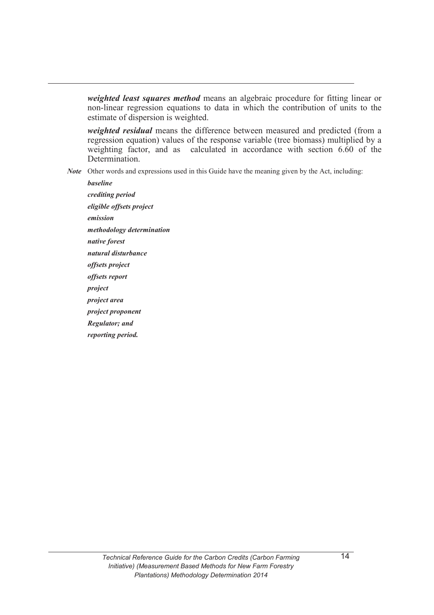*weighted least squares method* means an algebraic procedure for fitting linear or non-linear regression equations to data in which the contribution of units to the estimate of dispersion is weighted.

*weighted residual* means the difference between measured and predicted (from a regression equation) values of the response variable (tree biomass) multiplied by a weighting factor, and as calculated in accordance with section 6.60 of the Determination.

*Note* Other words and expressions used in this Guide have the meaning given by the Act, including:

*baseline crediting period eligible offsets project emission methodology determination native forest natural disturbance offsets project offsets report project project area project proponent Regulator; and reporting period.*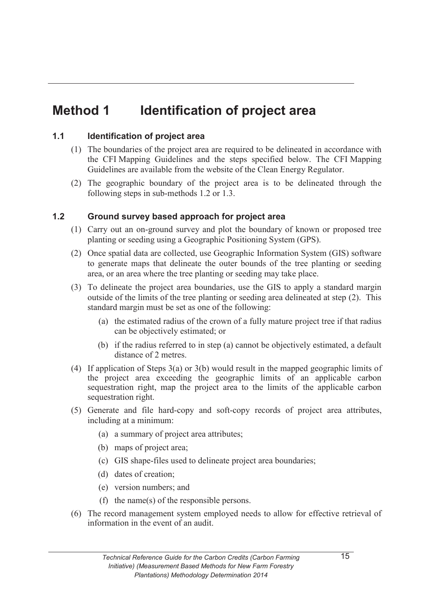# **Method 1 Identification of project area**

## **1.1 Identification of project area**

- (1) The boundaries of the project area are required to be delineated in accordance with the CFI Mapping Guidelines and the steps specified below. The CFI Mapping Guidelines are available from the website of the Clean Energy Regulator.
- (2) The geographic boundary of the project area is to be delineated through the following steps in sub-methods 1.2 or 1.3.

## **1.2 Ground survey based approach for project area**

- (1) Carry out an on-ground survey and plot the boundary of known or proposed tree planting or seeding using a Geographic Positioning System (GPS).
- (2) Once spatial data are collected, use Geographic Information System (GIS) software to generate maps that delineate the outer bounds of the tree planting or seeding area, or an area where the tree planting or seeding may take place.
- (3) To delineate the project area boundaries, use the GIS to apply a standard margin outside of the limits of the tree planting or seeding area delineated at step (2). This standard margin must be set as one of the following:
	- (a) the estimated radius of the crown of a fully mature project tree if that radius can be objectively estimated; or
	- (b) if the radius referred to in step (a) cannot be objectively estimated, a default distance of 2 metres.
- (4) If application of Steps 3(a) or 3(b) would result in the mapped geographic limits of the project area exceeding the geographic limits of an applicable carbon sequestration right, map the project area to the limits of the applicable carbon sequestration right.
- (5) Generate and file hard-copy and soft-copy records of project area attributes, including at a minimum:
	- (a) a summary of project area attributes;
	- (b) maps of project area;
	- (c) GIS shape-files used to delineate project area boundaries;
	- (d) dates of creation;
	- (e) version numbers; and
	- (f) the name(s) of the responsible persons.
- (6) The record management system employed needs to allow for effective retrieval of information in the event of an audit.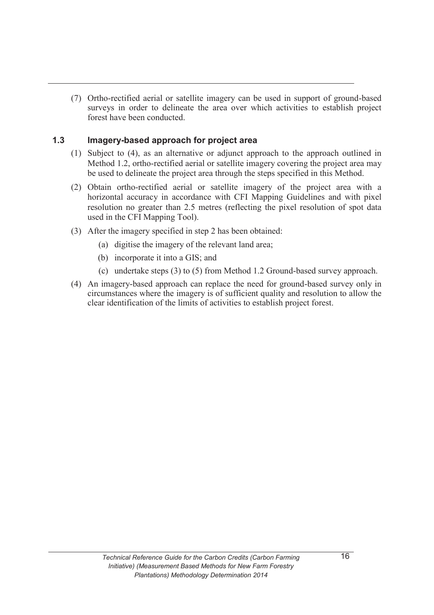(7) Ortho-rectified aerial or satellite imagery can be used in support of ground-based surveys in order to delineate the area over which activities to establish project forest have been conducted.

### **1.3 Imagery-based approach for project area**

- (1) Subject to (4), as an alternative or adjunct approach to the approach outlined in Method 1.2, ortho-rectified aerial or satellite imagery covering the project area may be used to delineate the project area through the steps specified in this Method.
- (2) Obtain ortho-rectified aerial or satellite imagery of the project area with a horizontal accuracy in accordance with CFI Mapping Guidelines and with pixel resolution no greater than 2.5 metres (reflecting the pixel resolution of spot data used in the CFI Mapping Tool).
- (3) After the imagery specified in step 2 has been obtained:
	- (a) digitise the imagery of the relevant land area;
	- (b) incorporate it into a GIS; and
	- (c) undertake steps (3) to (5) from Method 1.2 Ground-based survey approach.
- (4) An imagery-based approach can replace the need for ground-based survey only in circumstances where the imagery is of sufficient quality and resolution to allow the clear identification of the limits of activities to establish project forest.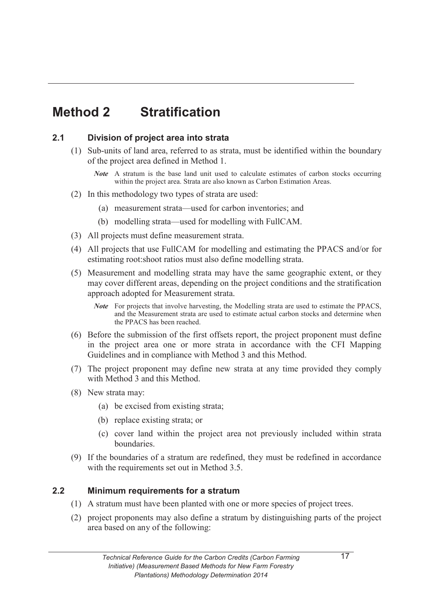# **Method 2 Stratification**

## **2.1 Division of project area into strata**

- (1) Sub-units of land area, referred to as strata, must be identified within the boundary of the project area defined in Method 1.
	- *Note* A stratum is the base land unit used to calculate estimates of carbon stocks occurring within the project area. Strata are also known as Carbon Estimation Areas.
- (2) In this methodology two types of strata are used:
	- (a) measurement strata—used for carbon inventories; and
	- (b) modelling strata—used for modelling with FullCAM.
- (3) All projects must define measurement strata.
- (4) All projects that use FullCAM for modelling and estimating the PPACS and/or for estimating root:shoot ratios must also define modelling strata.
- (5) Measurement and modelling strata may have the same geographic extent, or they may cover different areas, depending on the project conditions and the stratification approach adopted for Measurement strata.
	- *Note* For projects that involve harvesting, the Modelling strata are used to estimate the PPACS, and the Measurement strata are used to estimate actual carbon stocks and determine when the PPACS has been reached.
- (6) Before the submission of the first offsets report, the project proponent must define in the project area one or more strata in accordance with the CFI Mapping Guidelines and in compliance with Method 3 and this Method.
- (7) The project proponent may define new strata at any time provided they comply with Method 3 and this Method.
- (8) New strata may:
	- (a) be excised from existing strata;
	- (b) replace existing strata; or
	- (c) cover land within the project area not previously included within strata boundaries.
- (9) If the boundaries of a stratum are redefined, they must be redefined in accordance with the requirements set out in Method 3.5.

## **2.2 Minimum requirements for a stratum**

- (1) A stratum must have been planted with one or more species of project trees.
- (2) project proponents may also define a stratum by distinguishing parts of the project area based on any of the following: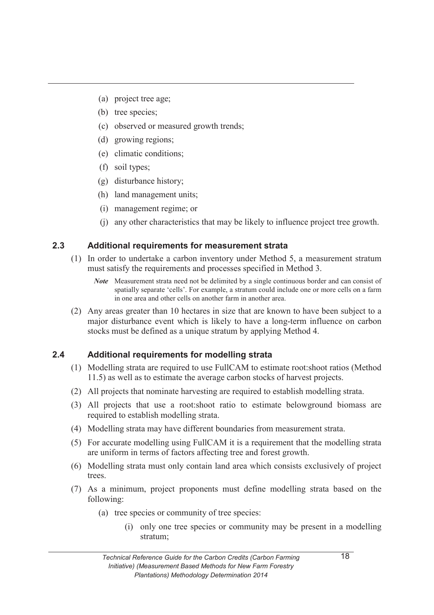- (a) project tree age;
- (b) tree species;
- (c) observed or measured growth trends;
- (d) growing regions;
- (e) climatic conditions;
- (f) soil types;
- (g) disturbance history;
- (h) land management units;
- (i) management regime; or
- (j) any other characteristics that may be likely to influence project tree growth.

### **2.3 Additional requirements for measurement strata**

- (1) In order to undertake a carbon inventory under Method 5, a measurement stratum must satisfy the requirements and processes specified in Method 3.
	- *Note* Measurement strata need not be delimited by a single continuous border and can consist of spatially separate 'cells'. For example, a stratum could include one or more cells on a farm in one area and other cells on another farm in another area.
- (2) Any areas greater than 10 hectares in size that are known to have been subject to a major disturbance event which is likely to have a long-term influence on carbon stocks must be defined as a unique stratum by applying Method 4.

## **2.4 Additional requirements for modelling strata**

- (1) Modelling strata are required to use FullCAM to estimate root:shoot ratios (Method 11.5) as well as to estimate the average carbon stocks of harvest projects.
- (2) All projects that nominate harvesting are required to establish modelling strata.
- (3) All projects that use a root:shoot ratio to estimate belowground biomass are required to establish modelling strata.
- (4) Modelling strata may have different boundaries from measurement strata.
- (5) For accurate modelling using FullCAM it is a requirement that the modelling strata are uniform in terms of factors affecting tree and forest growth.
- (6) Modelling strata must only contain land area which consists exclusively of project trees.
- (7) As a minimum, project proponents must define modelling strata based on the following:
	- (a) tree species or community of tree species:
		- (i) only one tree species or community may be present in a modelling stratum;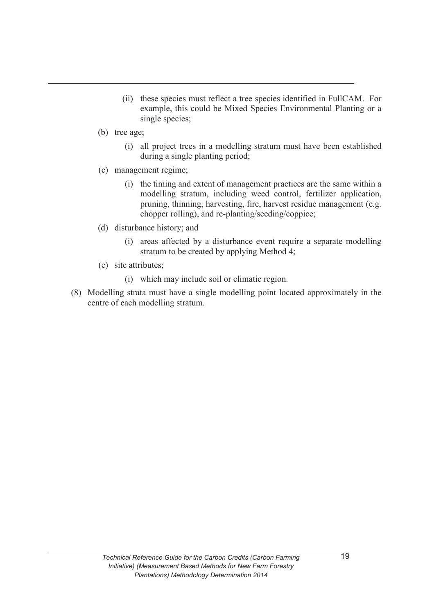- (ii) these species must reflect a tree species identified in FullCAM. For example, this could be Mixed Species Environmental Planting or a single species;
- (b) tree age;
	- (i) all project trees in a modelling stratum must have been established during a single planting period;
- (c) management regime;
	- (i) the timing and extent of management practices are the same within a modelling stratum, including weed control, fertilizer application, pruning, thinning, harvesting, fire, harvest residue management (e.g. chopper rolling), and re-planting/seeding/coppice;
- (d) disturbance history; and
	- (i) areas affected by a disturbance event require a separate modelling stratum to be created by applying Method 4;
- (e) site attributes;
	- (i) which may include soil or climatic region.
- (8) Modelling strata must have a single modelling point located approximately in the centre of each modelling stratum.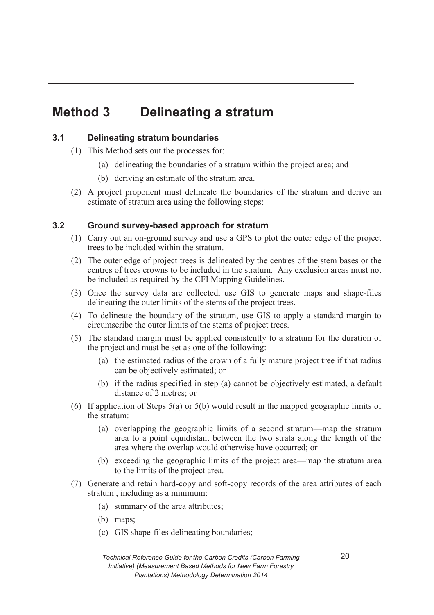# **Method 3 Delineating a stratum**

## **3.1 Delineating stratum boundaries**

- (1) This Method sets out the processes for:
	- (a) delineating the boundaries of a stratum within the project area; and
	- (b) deriving an estimate of the stratum area.
- (2) A project proponent must delineate the boundaries of the stratum and derive an estimate of stratum area using the following steps:

## **3.2 Ground survey-based approach for stratum**

- (1) Carry out an on-ground survey and use a GPS to plot the outer edge of the project trees to be included within the stratum.
- (2) The outer edge of project trees is delineated by the centres of the stem bases or the centres of trees crowns to be included in the stratum. Any exclusion areas must not be included as required by the CFI Mapping Guidelines.
- (3) Once the survey data are collected, use GIS to generate maps and shape-files delineating the outer limits of the stems of the project trees.
- (4) To delineate the boundary of the stratum, use GIS to apply a standard margin to circumscribe the outer limits of the stems of project trees.
- (5) The standard margin must be applied consistently to a stratum for the duration of the project and must be set as one of the following:
	- (a) the estimated radius of the crown of a fully mature project tree if that radius can be objectively estimated; or
	- (b) if the radius specified in step (a) cannot be objectively estimated, a default distance of 2 metres; or
- (6) If application of Steps 5(a) or 5(b) would result in the mapped geographic limits of the stratum:
	- (a) overlapping the geographic limits of a second stratum—map the stratum area to a point equidistant between the two strata along the length of the area where the overlap would otherwise have occurred; or
	- (b) exceeding the geographic limits of the project area—map the stratum area to the limits of the project area.
- (7) Generate and retain hard-copy and soft-copy records of the area attributes of each stratum , including as a minimum:
	- (a) summary of the area attributes;
	- (b) maps;
	- (c) GIS shape-files delineating boundaries;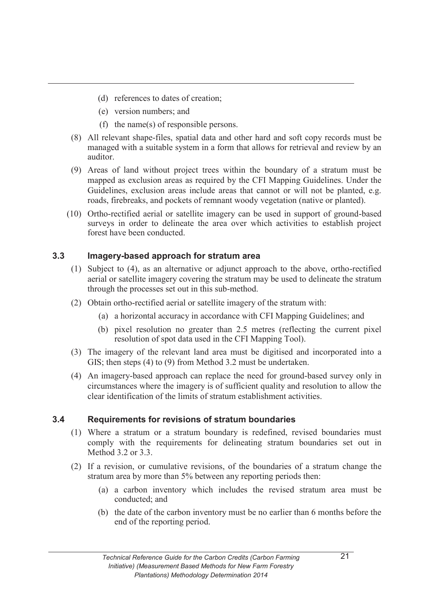- (d) references to dates of creation;
- (e) version numbers; and
- (f) the name(s) of responsible persons.
- (8) All relevant shape-files, spatial data and other hard and soft copy records must be managed with a suitable system in a form that allows for retrieval and review by an auditor.
- (9) Areas of land without project trees within the boundary of a stratum must be mapped as exclusion areas as required by the CFI Mapping Guidelines. Under the Guidelines, exclusion areas include areas that cannot or will not be planted, e.g. roads, firebreaks, and pockets of remnant woody vegetation (native or planted).
- (10) Ortho-rectified aerial or satellite imagery can be used in support of ground-based surveys in order to delineate the area over which activities to establish project forest have been conducted.

### **3.3 Imagery-based approach for stratum area**

- (1) Subject to (4), as an alternative or adjunct approach to the above, ortho-rectified aerial or satellite imagery covering the stratum may be used to delineate the stratum through the processes set out in this sub-method.
- (2) Obtain ortho-rectified aerial or satellite imagery of the stratum with:
	- (a) a horizontal accuracy in accordance with CFI Mapping Guidelines; and
	- (b) pixel resolution no greater than 2.5 metres (reflecting the current pixel resolution of spot data used in the CFI Mapping Tool).
- (3) The imagery of the relevant land area must be digitised and incorporated into a GIS; then steps (4) to (9) from Method 3.2 must be undertaken.
- (4) An imagery-based approach can replace the need for ground-based survey only in circumstances where the imagery is of sufficient quality and resolution to allow the clear identification of the limits of stratum establishment activities.

### **3.4 Requirements for revisions of stratum boundaries**

- (1) Where a stratum or a stratum boundary is redefined, revised boundaries must comply with the requirements for delineating stratum boundaries set out in Method 3.2 or 3.3.
- (2) If a revision, or cumulative revisions, of the boundaries of a stratum change the stratum area by more than 5% between any reporting periods then:
	- (a) a carbon inventory which includes the revised stratum area must be conducted; and
	- (b) the date of the carbon inventory must be no earlier than 6 months before the end of the reporting period.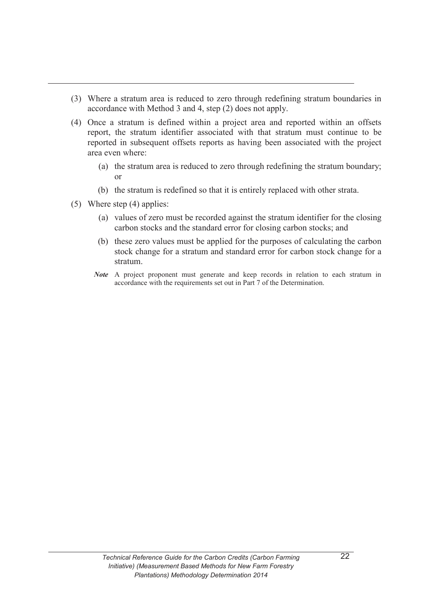- (3) Where a stratum area is reduced to zero through redefining stratum boundaries in accordance with Method 3 and 4, step (2) does not apply.
- (4) Once a stratum is defined within a project area and reported within an offsets report, the stratum identifier associated with that stratum must continue to be reported in subsequent offsets reports as having been associated with the project area even where:
	- (a) the stratum area is reduced to zero through redefining the stratum boundary; or
	- (b) the stratum is redefined so that it is entirely replaced with other strata.
- (5) Where step (4) applies:
	- (a) values of zero must be recorded against the stratum identifier for the closing carbon stocks and the standard error for closing carbon stocks; and
	- (b) these zero values must be applied for the purposes of calculating the carbon stock change for a stratum and standard error for carbon stock change for a stratum.
	- *Note* A project proponent must generate and keep records in relation to each stratum in accordance with the requirements set out in Part 7 of the Determination.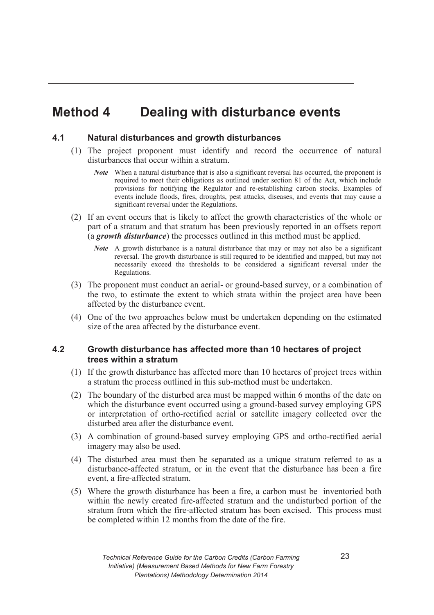## **Method 4 Dealing with disturbance events**

#### **4.1 Natural disturbances and growth disturbances**

- (1) The project proponent must identify and record the occurrence of natural disturbances that occur within a stratum.
	- *Note* When a natural disturbance that is also a significant reversal has occurred, the proponent is required to meet their obligations as outlined under section 81 of the Act, which include provisions for notifying the Regulator and re-establishing carbon stocks. Examples of events include floods, fires, droughts, pest attacks, diseases, and events that may cause a significant reversal under the Regulations.
- (2) If an event occurs that is likely to affect the growth characteristics of the whole or part of a stratum and that stratum has been previously reported in an offsets report (a *growth disturbance*) the processes outlined in this method must be applied.
	- *Note* A growth disturbance is a natural disturbance that may or may not also be a significant reversal. The growth disturbance is still required to be identified and mapped, but may not necessarily exceed the thresholds to be considered a significant reversal under the Regulations.
- (3) The proponent must conduct an aerial- or ground-based survey, or a combination of the two, to estimate the extent to which strata within the project area have been affected by the disturbance event.
- (4) One of the two approaches below must be undertaken depending on the estimated size of the area affected by the disturbance event.

#### **4.2 Growth disturbance has affected more than 10 hectares of project trees within a stratum**

- (1) If the growth disturbance has affected more than 10 hectares of project trees within a stratum the process outlined in this sub-method must be undertaken.
- (2) The boundary of the disturbed area must be mapped within 6 months of the date on which the disturbance event occurred using a ground-based survey employing GPS or interpretation of ortho-rectified aerial or satellite imagery collected over the disturbed area after the disturbance event.
- (3) A combination of ground-based survey employing GPS and ortho-rectified aerial imagery may also be used.
- (4) The disturbed area must then be separated as a unique stratum referred to as a disturbance-affected stratum, or in the event that the disturbance has been a fire event, a fire-affected stratum.
- (5) Where the growth disturbance has been a fire, a carbon must be inventoried both within the newly created fire-affected stratum and the undisturbed portion of the stratum from which the fire-affected stratum has been excised. This process must be completed within 12 months from the date of the fire.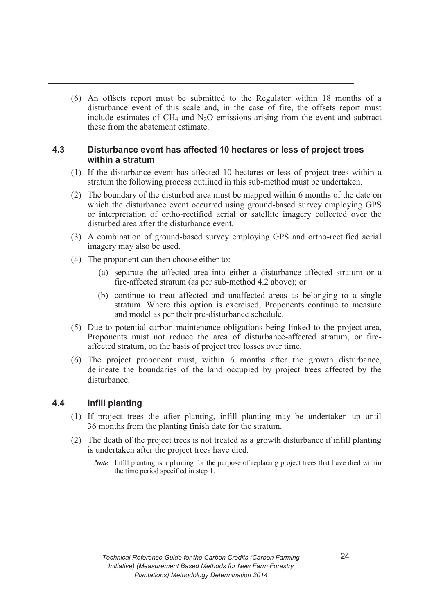(6) An offsets report must be submitted to the Regulator within 18 months of a disturbance event of this scale and, in the case of fire, the offsets report must include estimates of  $CH<sub>4</sub>$  and  $N<sub>2</sub>O$  emissions arising from the event and subtract these from the abatement estimate.

#### **4.3 Disturbance event has affected 10 hectares or less of project trees within a stratum**

- (1) If the disturbance event has affected 10 hectares or less of project trees within a stratum the following process outlined in this sub-method must be undertaken.
- (2) The boundary of the disturbed area must be mapped within 6 months of the date on which the disturbance event occurred using ground-based survey employing GPS or interpretation of ortho-rectified aerial or satellite imagery collected over the disturbed area after the disturbance event.
- (3) A combination of ground-based survey employing GPS and ortho-rectified aerial imagery may also be used.
- (4) The proponent can then choose either to:
	- (a) separate the affected area into either a disturbance-affected stratum or a fire-affected stratum (as per sub-method 4.2 above); or
	- (b) continue to treat affected and unaffected areas as belonging to a single stratum. Where this option is exercised, Proponents continue to measure and model as per their pre-disturbance schedule.
- (5) Due to potential carbon maintenance obligations being linked to the project area, Proponents must not reduce the area of disturbance-affected stratum, or fireaffected stratum, on the basis of project tree losses over time.
- (6) The project proponent must, within 6 months after the growth disturbance, delineate the boundaries of the land occupied by project trees affected by the disturbance.

### **4.4 Infill planting**

- (1) If project trees die after planting, infill planting may be undertaken up until 36 months from the planting finish date for the stratum.
- (2) The death of the project trees is not treated as a growth disturbance if infill planting is undertaken after the project trees have died.
	- *Note* Infill planting is a planting for the purpose of replacing project trees that have died within the time period specified in step 1.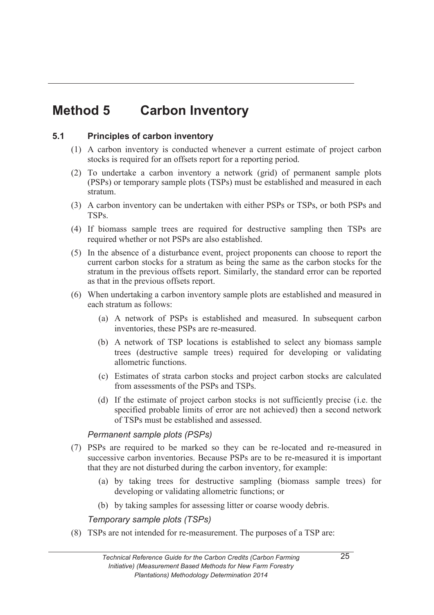# **Method 5 Carbon Inventory**

## **5.1 Principles of carbon inventory**

- (1) A carbon inventory is conducted whenever a current estimate of project carbon stocks is required for an offsets report for a reporting period.
- (2) To undertake a carbon inventory a network (grid) of permanent sample plots (PSPs) or temporary sample plots (TSPs) must be established and measured in each stratum.
- (3) A carbon inventory can be undertaken with either PSPs or TSPs, or both PSPs and TSPs.
- (4) If biomass sample trees are required for destructive sampling then TSPs are required whether or not PSPs are also established.
- (5) In the absence of a disturbance event, project proponents can choose to report the current carbon stocks for a stratum as being the same as the carbon stocks for the stratum in the previous offsets report. Similarly, the standard error can be reported as that in the previous offsets report.
- (6) When undertaking a carbon inventory sample plots are established and measured in each stratum as follows:
	- (a) A network of PSPs is established and measured. In subsequent carbon inventories, these PSPs are re-measured.
	- (b) A network of TSP locations is established to select any biomass sample trees (destructive sample trees) required for developing or validating allometric functions.
	- (c) Estimates of strata carbon stocks and project carbon stocks are calculated from assessments of the PSPs and TSPs.
	- (d) If the estimate of project carbon stocks is not sufficiently precise (i.e. the specified probable limits of error are not achieved) then a second network of TSPs must be established and assessed.

### *Permanent sample plots (PSPs)*

- (7) PSPs are required to be marked so they can be re-located and re-measured in successive carbon inventories. Because PSPs are to be re-measured it is important that they are not disturbed during the carbon inventory, for example:
	- (a) by taking trees for destructive sampling (biomass sample trees) for developing or validating allometric functions; or
	- (b) by taking samples for assessing litter or coarse woody debris.

### *Temporary sample plots (TSPs)*

(8) TSPs are not intended for re-measurement. The purposes of a TSP are: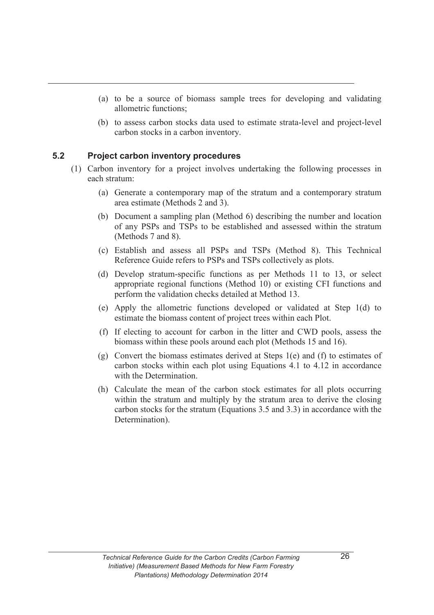- (a) to be a source of biomass sample trees for developing and validating allometric functions;
- (b) to assess carbon stocks data used to estimate strata-level and project-level carbon stocks in a carbon inventory.

#### **5.2 Project carbon inventory procedures**

- (1) Carbon inventory for a project involves undertaking the following processes in each stratum:
	- (a) Generate a contemporary map of the stratum and a contemporary stratum area estimate (Methods 2 and 3).
	- (b) Document a sampling plan (Method 6) describing the number and location of any PSPs and TSPs to be established and assessed within the stratum (Methods 7 and 8).
	- (c) Establish and assess all PSPs and TSPs (Method 8). This Technical Reference Guide refers to PSPs and TSPs collectively as plots.
	- (d) Develop stratum-specific functions as per Methods 11 to 13, or select appropriate regional functions (Method 10) or existing CFI functions and perform the validation checks detailed at Method 13.
	- (e) Apply the allometric functions developed or validated at Step 1(d) to estimate the biomass content of project trees within each Plot.
	- (f) If electing to account for carbon in the litter and CWD pools, assess the biomass within these pools around each plot (Methods 15 and 16).
	- (g) Convert the biomass estimates derived at Steps 1(e) and (f) to estimates of carbon stocks within each plot using Equations 4.1 to 4.12 in accordance with the Determination
	- (h) Calculate the mean of the carbon stock estimates for all plots occurring within the stratum and multiply by the stratum area to derive the closing carbon stocks for the stratum (Equations 3.5 and 3.3) in accordance with the Determination).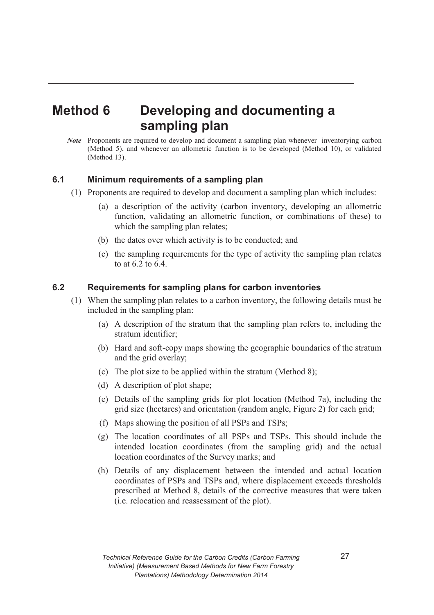# **Method 6 Developing and documenting a sampling plan**

*Note* Proponents are required to develop and document a sampling plan whenever inventorying carbon (Method 5), and whenever an allometric function is to be developed (Method 10), or validated (Method 13).

#### **6.1 Minimum requirements of a sampling plan**

- (1) Proponents are required to develop and document a sampling plan which includes:
	- (a) a description of the activity (carbon inventory, developing an allometric function, validating an allometric function, or combinations of these) to which the sampling plan relates;
	- (b) the dates over which activity is to be conducted; and
	- (c) the sampling requirements for the type of activity the sampling plan relates to at  $6.2$  to  $6.4$

#### **6.2 Requirements for sampling plans for carbon inventories**

- (1) When the sampling plan relates to a carbon inventory, the following details must be included in the sampling plan:
	- (a) A description of the stratum that the sampling plan refers to, including the stratum identifier;
	- (b) Hard and soft-copy maps showing the geographic boundaries of the stratum and the grid overlay;
	- (c) The plot size to be applied within the stratum (Method 8);
	- (d) A description of plot shape;
	- (e) Details of the sampling grids for plot location (Method 7a), including the grid size (hectares) and orientation (random angle, Figure 2) for each grid;
	- (f) Maps showing the position of all PSPs and TSPs;
	- (g) The location coordinates of all PSPs and TSPs. This should include the intended location coordinates (from the sampling grid) and the actual location coordinates of the Survey marks; and
	- (h) Details of any displacement between the intended and actual location coordinates of PSPs and TSPs and, where displacement exceeds thresholds prescribed at Method 8, details of the corrective measures that were taken (i.e. relocation and reassessment of the plot).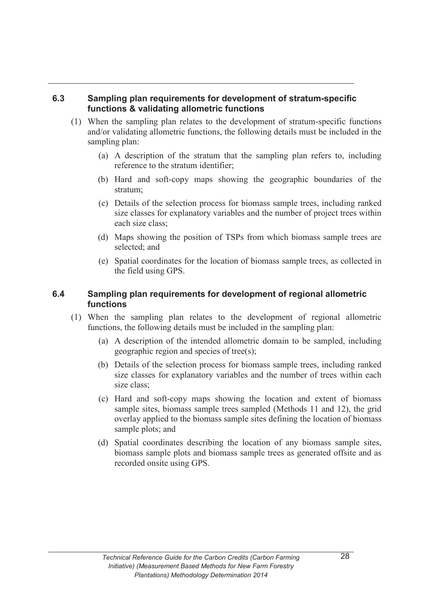#### **6.3 Sampling plan requirements for development of stratum-specific functions & validating allometric functions**

- (1) When the sampling plan relates to the development of stratum-specific functions and/or validating allometric functions, the following details must be included in the sampling plan:
	- (a) A description of the stratum that the sampling plan refers to, including reference to the stratum identifier;
	- (b) Hard and soft-copy maps showing the geographic boundaries of the stratum;
	- (c) Details of the selection process for biomass sample trees, including ranked size classes for explanatory variables and the number of project trees within each size class;
	- (d) Maps showing the position of TSPs from which biomass sample trees are selected; and
	- (e) Spatial coordinates for the location of biomass sample trees, as collected in the field using GPS.

#### **6.4 Sampling plan requirements for development of regional allometric functions**

- (1) When the sampling plan relates to the development of regional allometric functions, the following details must be included in the sampling plan:
	- (a) A description of the intended allometric domain to be sampled, including geographic region and species of tree(s);
	- (b) Details of the selection process for biomass sample trees, including ranked size classes for explanatory variables and the number of trees within each size class;
	- (c) Hard and soft-copy maps showing the location and extent of biomass sample sites, biomass sample trees sampled (Methods 11 and 12), the grid overlay applied to the biomass sample sites defining the location of biomass sample plots; and
	- (d) Spatial coordinates describing the location of any biomass sample sites, biomass sample plots and biomass sample trees as generated offsite and as recorded onsite using GPS.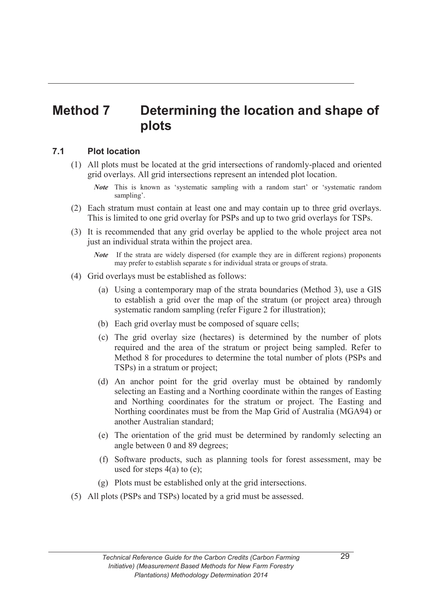## **Method 7 Determining the location and shape of plots**

## **7.1 Plot location**

- (1) All plots must be located at the grid intersections of randomly-placed and oriented grid overlays. All grid intersections represent an intended plot location.
	- *Note* This is known as 'systematic sampling with a random start' or 'systematic random sampling'.
- (2) Each stratum must contain at least one and may contain up to three grid overlays. This is limited to one grid overlay for PSPs and up to two grid overlays for TSPs.
- (3) It is recommended that any grid overlay be applied to the whole project area not just an individual strata within the project area.
	- *Note* If the strata are widely dispersed (for example they are in different regions) proponents may prefer to establish separate s for individual strata or groups of strata.
- (4) Grid overlays must be established as follows:
	- (a) Using a contemporary map of the strata boundaries (Method 3), use a GIS to establish a grid over the map of the stratum (or project area) through systematic random sampling (refer Figure 2 for illustration);
	- (b) Each grid overlay must be composed of square cells;
	- (c) The grid overlay size (hectares) is determined by the number of plots required and the area of the stratum or project being sampled. Refer to Method 8 for procedures to determine the total number of plots (PSPs and TSPs) in a stratum or project;
	- (d) An anchor point for the grid overlay must be obtained by randomly selecting an Easting and a Northing coordinate within the ranges of Easting and Northing coordinates for the stratum or project. The Easting and Northing coordinates must be from the Map Grid of Australia (MGA94) or another Australian standard;
	- (e) The orientation of the grid must be determined by randomly selecting an angle between 0 and 89 degrees;
	- (f) Software products, such as planning tools for forest assessment, may be used for steps  $4(a)$  to  $(e)$ ;
	- (g) Plots must be established only at the grid intersections.
- (5) All plots (PSPs and TSPs) located by a grid must be assessed.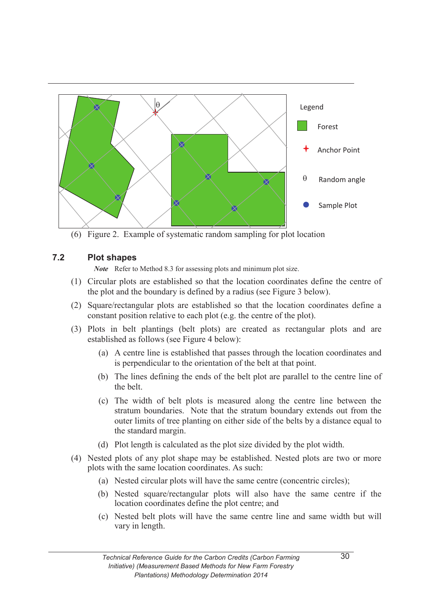

(6) Figure 2. Example of systematic random sampling for plot location

### **7.2 Plot shapes**

*Note* Refer to Method 8.3 for assessing plots and minimum plot size.

- (1) Circular plots are established so that the location coordinates define the centre of the plot and the boundary is defined by a radius (see Figure 3 below).
- (2) Square/rectangular plots are established so that the location coordinates define a constant position relative to each plot (e.g. the centre of the plot).
- (3) Plots in belt plantings (belt plots) are created as rectangular plots and are established as follows (see Figure 4 below):
	- (a) A centre line is established that passes through the location coordinates and is perpendicular to the orientation of the belt at that point.
	- (b) The lines defining the ends of the belt plot are parallel to the centre line of the belt.
	- (c) The width of belt plots is measured along the centre line between the stratum boundaries. Note that the stratum boundary extends out from the outer limits of tree planting on either side of the belts by a distance equal to the standard margin.
	- (d) Plot length is calculated as the plot size divided by the plot width.
- (4) Nested plots of any plot shape may be established. Nested plots are two or more plots with the same location coordinates. As such:
	- (a) Nested circular plots will have the same centre (concentric circles);
	- (b) Nested square/rectangular plots will also have the same centre if the location coordinates define the plot centre; and
	- (c) Nested belt plots will have the same centre line and same width but will vary in length.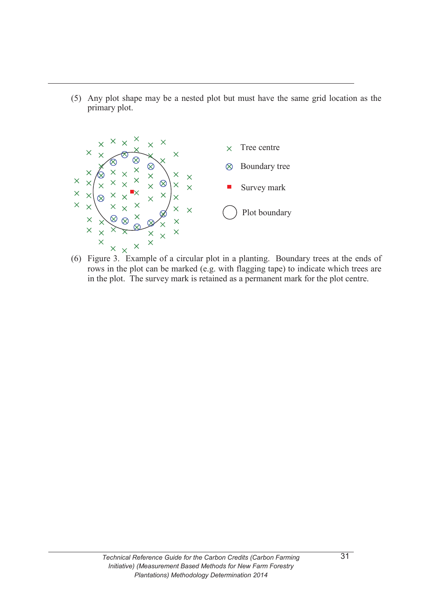(5) Any plot shape may be a nested plot but must have the same grid location as the primary plot.



 (6) Figure 3. Example of a circular plot in a planting. Boundary trees at the ends of rows in the plot can be marked (e.g. with flagging tape) to indicate which trees are in the plot. The survey mark is retained as a permanent mark for the plot centre.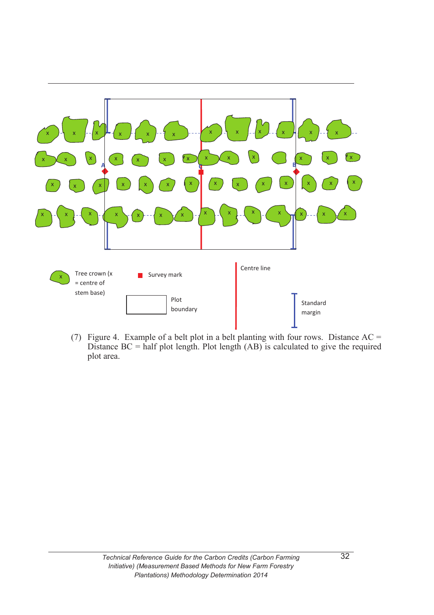

 (7) Figure 4. Example of a belt plot in a belt planting with four rows. Distance AC = Distance  $BC = half plot length$ . Plot length  $(AB)$  is calculated to give the required plot area.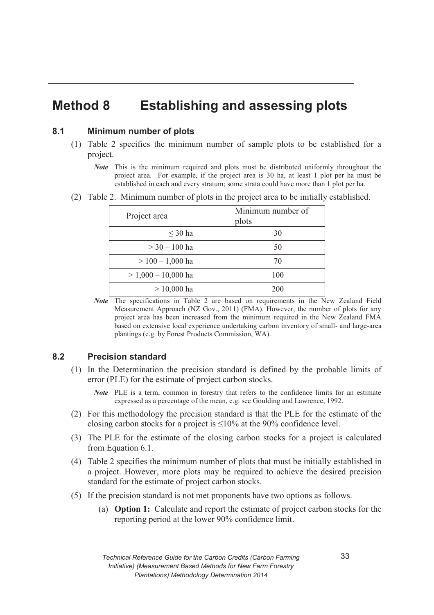## **Method 8 Establishing and assessing plots**

### **8.1 Minimum number of plots**

- (1) Table 2 specifies the minimum number of sample plots to be established for a project.
	- *Note* This is the minimum required and plots must be distributed uniformly throughout the project area. For example, if the project area is 30 ha, at least 1 plot per ha must be established in each and every stratum; some strata could have more than 1 plot per ha.

| Project area          | Minimum number of<br>plots |  |
|-----------------------|----------------------------|--|
| $\leq$ 30 ha          | 30                         |  |
| $>$ 30 - 100 ha       | 50                         |  |
| $> 100 - 1,000$ ha    | 70                         |  |
| $> 1,000 - 10,000$ ha | 100                        |  |
| $> 10,000$ ha         | 200                        |  |

(2) Table 2. Minimum number of plots in the project area to be initially established.

## **8.2 Precision standard**

- (1) In the Determination the precision standard is defined by the probable limits of error (PLE) for the estimate of project carbon stocks.
	- *Note* PLE is a term, common in forestry that refers to the confidence limits for an estimate expressed as a percentage of the mean, e.g. see Goulding and Lawrence, 1992.
- (2) For this methodology the precision standard is that the PLE for the estimate of the closing carbon stocks for a project is ≤10% at the 90% confidence level.
- (3) The PLE for the estimate of the closing carbon stocks for a project is calculated from Equation 6.1.
- (4) Table 2 specifies the minimum number of plots that must be initially established in a project. However, more plots may be required to achieve the desired precision standard for the estimate of project carbon stocks.
- (5) If the precision standard is not met proponents have two options as follows.
	- (a) **Option 1:** Calculate and report the estimate of project carbon stocks for the reporting period at the lower 90% confidence limit.

*Note* The specifications in Table 2 are based on requirements in the New Zealand Field Measurement Approach (NZ Gov., 2011) (FMA). However, the number of plots for any project area has been increased from the minimum required in the New Zealand FMA based on extensive local experience undertaking carbon inventory of small- and large-area plantings (e.g. by Forest Products Commission, WA).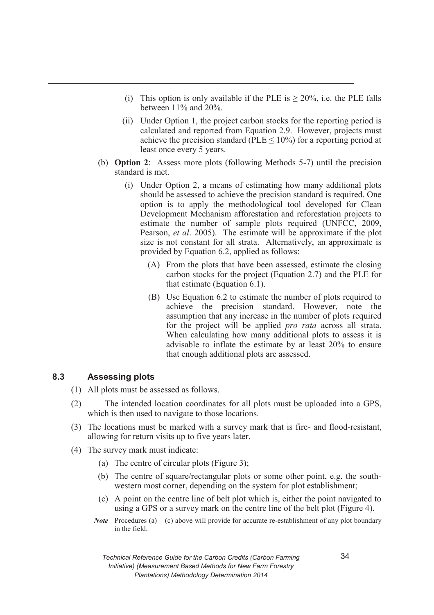- (i) This option is only available if the PLE is  $\geq 20\%$ , i.e. the PLE falls between 11% and 20%.
- (ii) Under Option 1, the project carbon stocks for the reporting period is calculated and reported from Equation 2.9. However, projects must achieve the precision standard (PLE  $\leq 10\%$ ) for a reporting period at least once every 5 years.
- (b) **Option 2**: Assess more plots (following Methods 5-7) until the precision standard is met.
	- (i) Under Option 2, a means of estimating how many additional plots should be assessed to achieve the precision standard is required. One option is to apply the methodological tool developed for Clean Development Mechanism afforestation and reforestation projects to estimate the number of sample plots required (UNFCC, 2009, Pearson, *et al*. 2005). The estimate will be approximate if the plot size is not constant for all strata. Alternatively, an approximate is provided by Equation 6.2, applied as follows:
		- (A) From the plots that have been assessed, estimate the closing carbon stocks for the project (Equation 2.7) and the PLE for that estimate (Equation 6.1).
		- (B) Use Equation 6.2 to estimate the number of plots required to achieve the precision standard. However, note the assumption that any increase in the number of plots required for the project will be applied *pro rata* across all strata. When calculating how many additional plots to assess it is advisable to inflate the estimate by at least 20% to ensure that enough additional plots are assessed.

#### **8.3 Assessing plots**

- (1) All plots must be assessed as follows.
- (2) The intended location coordinates for all plots must be uploaded into a GPS, which is then used to navigate to those locations.
- (3) The locations must be marked with a survey mark that is fire- and flood-resistant, allowing for return visits up to five years later.
- (4) The survey mark must indicate:
	- (a) The centre of circular plots (Figure 3);
	- (b) The centre of square/rectangular plots or some other point, e.g. the southwestern most corner, depending on the system for plot establishment;
	- (c) A point on the centre line of belt plot which is, either the point navigated to using a GPS or a survey mark on the centre line of the belt plot (Figure 4).
	- *Note* Procedures (a) (c) above will provide for accurate re-establishment of any plot boundary in the field.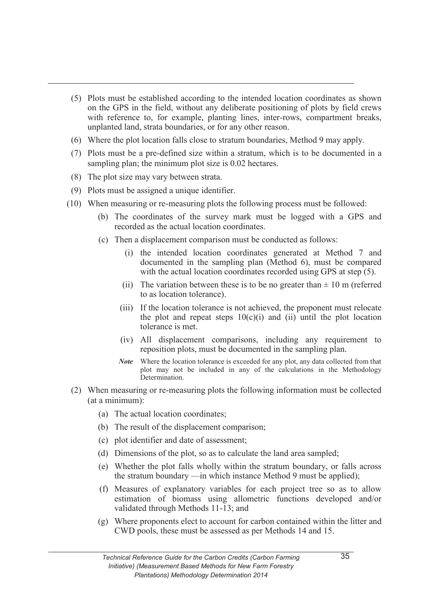- (5) Plots must be established according to the intended location coordinates as shown on the GPS in the field, without any deliberate positioning of plots by field crews with reference to, for example, planting lines, inter-rows, compartment breaks, unplanted land, strata boundaries, or for any other reason.
- (6) Where the plot location falls close to stratum boundaries, Method 9 may apply.
- (7) Plots must be a pre-defined size within a stratum, which is to be documented in a sampling plan; the minimum plot size is 0.02 hectares.
- (8) The plot size may vary between strata.
- (9) Plots must be assigned a unique identifier.
- (10) When measuring or re-measuring plots the following process must be followed:
	- (b) The coordinates of the survey mark must be logged with a GPS and recorded as the actual location coordinates.
	- (c) Then a displacement comparison must be conducted as follows:
		- (i) the intended location coordinates generated at Method 7 and documented in the sampling plan (Method 6), must be compared with the actual location coordinates recorded using GPS at step (5).
		- (ii) The variation between these is to be no greater than  $\pm 10$  m (referred to as location tolerance).
		- (iii) If the location tolerance is not achieved, the proponent must relocate the plot and repeat steps  $10(c)(i)$  and (ii) until the plot location tolerance is met.
		- (iv) All displacement comparisons, including any requirement to reposition plots, must be documented in the sampling plan.
		- *Note* Where the location tolerance is exceeded for any plot, any data collected from that plot may not be included in any of the calculations in the Methodology Determination.
- (2) When measuring or re-measuring plots the following information must be collected (at a minimum):
	- (a) The actual location coordinates;
	- (b) The result of the displacement comparison;
	- (c) plot identifier and date of assessment;
	- (d) Dimensions of the plot, so as to calculate the land area sampled;
	- (e) Whether the plot falls wholly within the stratum boundary, or falls across the stratum boundary —in which instance Method 9 must be applied);
	- (f) Measures of explanatory variables for each project tree so as to allow estimation of biomass using allometric functions developed and/or validated through Methods 11-13; and
	- (g) Where proponents elect to account for carbon contained within the litter and CWD pools, these must be assessed as per Methods 14 and 15.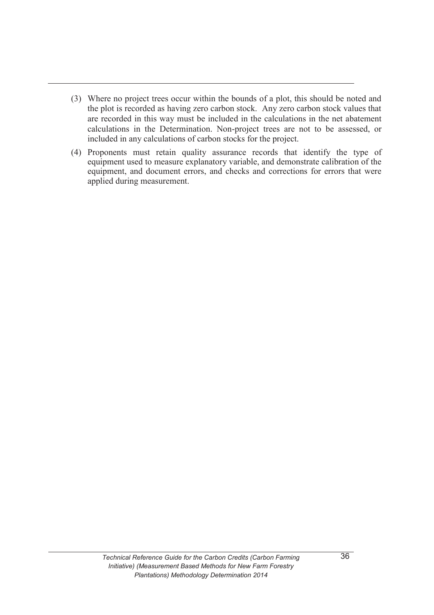- (3) Where no project trees occur within the bounds of a plot, this should be noted and the plot is recorded as having zero carbon stock. Any zero carbon stock values that are recorded in this way must be included in the calculations in the net abatement calculations in the Determination. Non-project trees are not to be assessed, or included in any calculations of carbon stocks for the project.
- (4) Proponents must retain quality assurance records that identify the type of equipment used to measure explanatory variable, and demonstrate calibration of the equipment, and document errors, and checks and corrections for errors that were applied during measurement.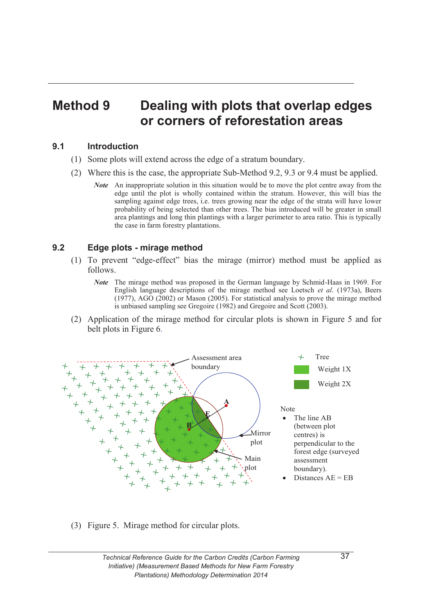## **Method 9 Dealing with plots that overlap edges or corners of reforestation areas**

#### **9.1 Introduction**

- (1) Some plots will extend across the edge of a stratum boundary.
- (2) Where this is the case, the appropriate Sub-Method 9.2, 9.3 or 9.4 must be applied.
	- *Note* An inappropriate solution in this situation would be to move the plot centre away from the edge until the plot is wholly contained within the stratum. However, this will bias the sampling against edge trees, i.e. trees growing near the edge of the strata will have lower probability of being selected than other trees. The bias introduced will be greater in small area plantings and long thin plantings with a larger perimeter to area ratio. This is typically the case in farm forestry plantations.

### **9.2 Edge plots - mirage method**

- (1) To prevent "edge-effect" bias the mirage (mirror) method must be applied as follows.
	- *Note* The mirage method was proposed in the German language by Schmid-Haas in 1969. For English language descriptions of the mirage method see Loetsch *et al*. (1973a), Beers (1977), AGO (2002) or Mason (2005). For statistical analysis to prove the mirage method is unbiased sampling see Gregoire (1982) and Gregoire and Scott (2003).
- (2) Application of the mirage method for circular plots is shown in Figure 5 and for belt plots in Figure 6.



(3) Figure 5. Mirage method for circular plots.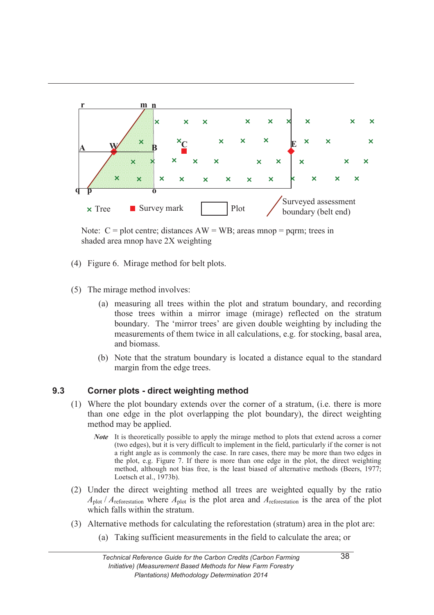

Note:  $C = plot$  centre; distances  $AW = WB$ ; areas mnop = pqrm; trees in shaded area mnop have 2X weighting

- (4) Figure 6. Mirage method for belt plots.
- (5) The mirage method involves:
	- (a) measuring all trees within the plot and stratum boundary, and recording those trees within a mirror image (mirage) reflected on the stratum boundary. The 'mirror trees' are given double weighting by including the measurements of them twice in all calculations, e.g. for stocking, basal area, and biomass.
	- (b) Note that the stratum boundary is located a distance equal to the standard margin from the edge trees.

### **9.3 Corner plots - direct weighting method**

- (1) Where the plot boundary extends over the corner of a stratum, (i.e. there is more than one edge in the plot overlapping the plot boundary), the direct weighting method may be applied.
	- *Note* It is theoretically possible to apply the mirage method to plots that extend across a corner (two edges), but it is very difficult to implement in the field, particularly if the corner is not a right angle as is commonly the case. In rare cases, there may be more than two edges in the plot, e.g. Figure 7. If there is more than one edge in the plot, the direct weighting method, although not bias free, is the least biased of alternative methods (Beers, 1977; Loetsch et al., 1973b).
- (2) Under the direct weighting method all trees are weighted equally by the ratio *A*plot / *A*reforestation where *A*plot is the plot area and *A*reforestation is the area of the plot which falls within the stratum.
- (3) Alternative methods for calculating the reforestation (stratum) area in the plot are:
	- (a) Taking sufficient measurements in the field to calculate the area; or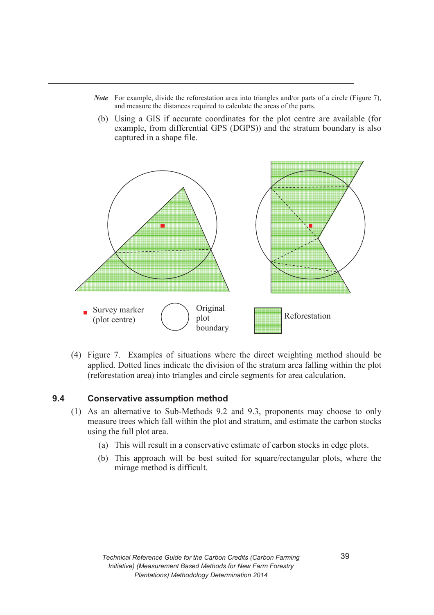- *Note* For example, divide the reforestation area into triangles and/or parts of a circle (Figure 7), and measure the distances required to calculate the areas of the parts.
- (b) Using a GIS if accurate coordinates for the plot centre are available (for example, from differential GPS (DGPS)) and the stratum boundary is also captured in a shape file.



 (4) Figure 7. Examples of situations where the direct weighting method should be applied. Dotted lines indicate the division of the stratum area falling within the plot (reforestation area) into triangles and circle segments for area calculation.

#### **9.4 Conservative assumption method**

- (1) As an alternative to Sub-Methods 9.2 and 9.3, proponents may choose to only measure trees which fall within the plot and stratum, and estimate the carbon stocks using the full plot area.
	- (a) This will result in a conservative estimate of carbon stocks in edge plots.
	- (b) This approach will be best suited for square/rectangular plots, where the mirage method is difficult.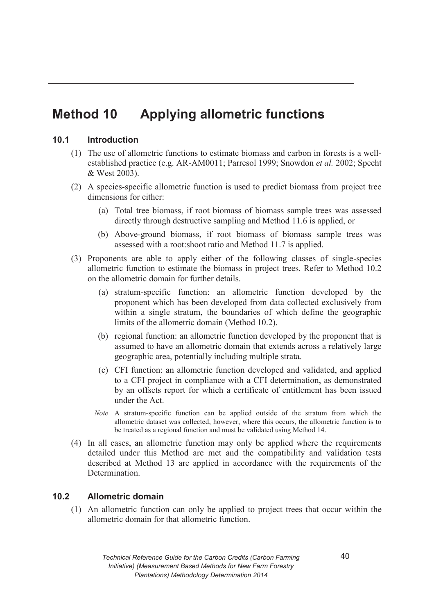# **Method 10 Applying allometric functions**

## **10.1 Introduction**

- (1) The use of allometric functions to estimate biomass and carbon in forests is a wellestablished practice (e.g. AR-AM0011; Parresol 1999; Snowdon *et al.* 2002; Specht & West 2003).
- (2) A species-specific allometric function is used to predict biomass from project tree dimensions for either:
	- (a) Total tree biomass, if root biomass of biomass sample trees was assessed directly through destructive sampling and Method 11.6 is applied, or
	- (b) Above-ground biomass, if root biomass of biomass sample trees was assessed with a root:shoot ratio and Method 11.7 is applied.
- (3) Proponents are able to apply either of the following classes of single-species allometric function to estimate the biomass in project trees. Refer to Method 10.2 on the allometric domain for further details.
	- (a) stratum-specific function: an allometric function developed by the proponent which has been developed from data collected exclusively from within a single stratum, the boundaries of which define the geographic limits of the allometric domain (Method 10.2).
	- (b) regional function: an allometric function developed by the proponent that is assumed to have an allometric domain that extends across a relatively large geographic area, potentially including multiple strata.
	- (c) CFI function: an allometric function developed and validated, and applied to a CFI project in compliance with a CFI determination, as demonstrated by an offsets report for which a certificate of entitlement has been issued under the Act.
	- *Note* A stratum-specific function can be applied outside of the stratum from which the allometric dataset was collected, however, where this occurs, the allometric function is to be treated as a regional function and must be validated using Method 14.
- (4) In all cases, an allometric function may only be applied where the requirements detailed under this Method are met and the compatibility and validation tests described at Method 13 are applied in accordance with the requirements of the **Determination**

## **10.2 Allometric domain**

 (1) An allometric function can only be applied to project trees that occur within the allometric domain for that allometric function.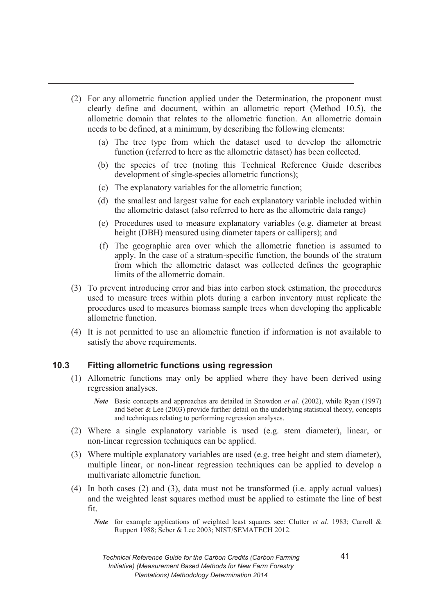- (2) For any allometric function applied under the Determination, the proponent must clearly define and document, within an allometric report (Method 10.5), the allometric domain that relates to the allometric function. An allometric domain needs to be defined, at a minimum, by describing the following elements:
	- (a) The tree type from which the dataset used to develop the allometric function (referred to here as the allometric dataset) has been collected.
	- (b) the species of tree (noting this Technical Reference Guide describes development of single-species allometric functions);
	- (c) The explanatory variables for the allometric function;
	- (d) the smallest and largest value for each explanatory variable included within the allometric dataset (also referred to here as the allometric data range)
	- (e) Procedures used to measure explanatory variables (e.g. diameter at breast height (DBH) measured using diameter tapers or callipers); and
	- (f) The geographic area over which the allometric function is assumed to apply. In the case of a stratum-specific function, the bounds of the stratum from which the allometric dataset was collected defines the geographic limits of the allometric domain.
- (3) To prevent introducing error and bias into carbon stock estimation, the procedures used to measure trees within plots during a carbon inventory must replicate the procedures used to measures biomass sample trees when developing the applicable allometric function.
- (4) It is not permitted to use an allometric function if information is not available to satisfy the above requirements.

### **10.3 Fitting allometric functions using regression**

- (1) Allometric functions may only be applied where they have been derived using regression analyses.
	- *Note* Basic concepts and approaches are detailed in Snowdon *et al.* (2002), while Ryan (1997) and Seber & Lee  $(2003)$  provide further detail on the underlying statistical theory, concepts and techniques relating to performing regression analyses.
- (2) Where a single explanatory variable is used (e.g. stem diameter), linear, or non-linear regression techniques can be applied.
- (3) Where multiple explanatory variables are used (e.g. tree height and stem diameter), multiple linear, or non-linear regression techniques can be applied to develop a multivariate allometric function.
- (4) In both cases (2) and (3), data must not be transformed (i.e. apply actual values) and the weighted least squares method must be applied to estimate the line of best fit.
	- *Note* for example applications of weighted least squares see: Clutter *et al.* 1983; Carroll & Ruppert 1988; Seber & Lee 2003; NIST/SEMATECH 2012.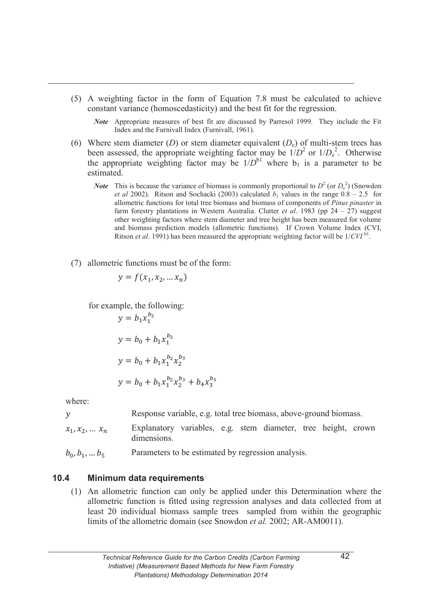- (5) A weighting factor in the form of Equation 7.8 must be calculated to achieve constant variance (homoscedasticity) and the best fit for the regression.
	- *Note* Appropriate measures of best fit are discussed by Parresol 1999. They include the Fit Index and the Furnivall Index (Furnivall, 1961).
- (6) Where stem diameter (*D*) or stem diameter equivalent ( $D<sub>e</sub>$ ) of multi-stem trees has been assessed, the appropriate weighting factor may be  $1/D^2$  or  $1/D<sub>e</sub><sup>2</sup>$ . Otherwise the appropriate weighting factor may be  $1/D^{b1}$  where  $b_1$  is a parameter to be estimated.
	- *Note* This is because the variance of biomass is commonly proportional to  $D^2$  (or  $D_e^2$ ) (Snowdon *et al* 2002). Ritson and Sochacki (2003) calculated  $b_1$  values in the range  $0.8 - 2.5$  for allometric functions for total tree biomass and biomass of components of *Pinus pinaster* in farm forestry plantations in Western Australia. Clutter *et al*. 1983 (pp 24 – 27) suggest other weighting factors where stem diameter and tree height has been measured for volume and biomass prediction models (allometric functions). If Crown Volume Index (CVI, Ritson *et al*. 1991) has been measured the appropriate weighting factor will be 1/*CVI* b1 .
- (7) allometric functions must be of the form:

$$
y = f(x_1, x_2, \dots x_n)
$$

for example, the following:

$$
y = b_1 x_1^{b_2}
$$
  
\n
$$
y = b_0 + b_1 x_1^{b_2}
$$
  
\n
$$
y = b_0 + b_1 x_1^{b_2} x_2^{b_3}
$$
  
\n
$$
y = b_0 + b_1 x_1^{b_2} x_2^{b_3} + b_4 x_3^{b_5}
$$

where:

 $\nu$  Response variable, e.g. total tree biomass, above-ground biomass.

- $x_1, x_2, \ldots, x_n$  Explanatory variables, e.g. stem diameter, tree height, crown dimensions.
- $b_0, b_1, \ldots, b_5$  Parameters to be estimated by regression analysis.

#### **10.4 Minimum data requirements**

 (1) An allometric function can only be applied under this Determination where the allometric function is fitted using regression analyses and data collected from at least 20 individual biomass sample trees sampled from within the geographic limits of the allometric domain (see Snowdon *et al.* 2002; AR-AM0011).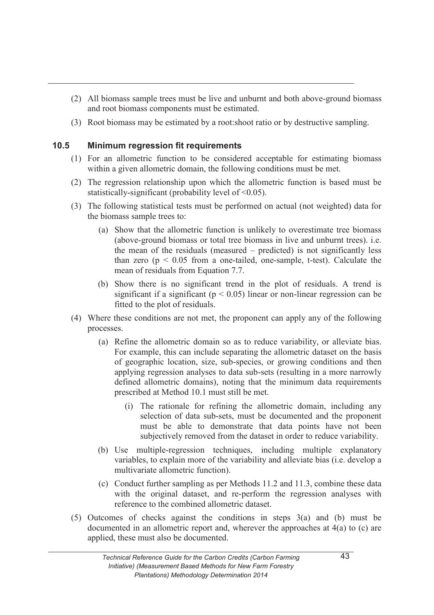- (2) All biomass sample trees must be live and unburnt and both above-ground biomass and root biomass components must be estimated.
- (3) Root biomass may be estimated by a root:shoot ratio or by destructive sampling.

## **10.5 Minimum regression fit requirements**

- (1) For an allometric function to be considered acceptable for estimating biomass within a given allometric domain, the following conditions must be met.
- (2) The regression relationship upon which the allometric function is based must be statistically-significant (probability level of  $\leq 0.05$ ).
- (3) The following statistical tests must be performed on actual (not weighted) data for the biomass sample trees to:
	- (a) Show that the allometric function is unlikely to overestimate tree biomass (above-ground biomass or total tree biomass in live and unburnt trees). i.e. the mean of the residuals (measured – predicted) is not significantly less than zero ( $p \le 0.05$  from a one-tailed, one-sample, t-test). Calculate the mean of residuals from Equation 7.7.
	- (b) Show there is no significant trend in the plot of residuals. A trend is significant if a significant ( $p < 0.05$ ) linear or non-linear regression can be fitted to the plot of residuals.
- (4) Where these conditions are not met, the proponent can apply any of the following processes.
	- (a) Refine the allometric domain so as to reduce variability, or alleviate bias. For example, this can include separating the allometric dataset on the basis of geographic location, size, sub-species, or growing conditions and then applying regression analyses to data sub-sets (resulting in a more narrowly defined allometric domains), noting that the minimum data requirements prescribed at Method 10.1 must still be met.
		- (i) The rationale for refining the allometric domain, including any selection of data sub-sets, must be documented and the proponent must be able to demonstrate that data points have not been subjectively removed from the dataset in order to reduce variability.
	- (b) Use multiple-regression techniques, including multiple explanatory variables, to explain more of the variability and alleviate bias (i.e. develop a multivariate allometric function).
	- (c) Conduct further sampling as per Methods 11.2 and 11.3, combine these data with the original dataset, and re-perform the regression analyses with reference to the combined allometric dataset.
- (5) Outcomes of checks against the conditions in steps 3(a) and (b) must be documented in an allometric report and, wherever the approaches at 4(a) to (c) are applied, these must also be documented.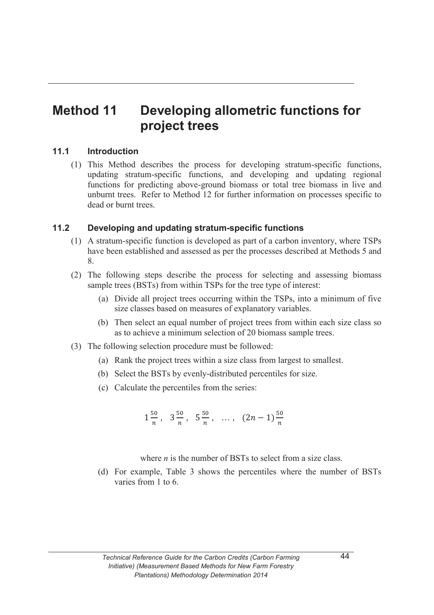## **Method 11 Developing allometric functions for project trees**

### **11.1 Introduction**

 (1) This Method describes the process for developing stratum-specific functions, updating stratum-specific functions, and developing and updating regional functions for predicting above-ground biomass or total tree biomass in live and unburnt trees. Refer to Method 12 for further information on processes specific to dead or burnt trees.

#### **11.2 Developing and updating stratum-specific functions**

- (1) A stratum-specific function is developed as part of a carbon inventory, where TSPs have been established and assessed as per the processes described at Methods 5 and 8.
- (2) The following steps describe the process for selecting and assessing biomass sample trees (BSTs) from within TSPs for the tree type of interest:
	- (a) Divide all project trees occurring within the TSPs, into a minimum of five size classes based on measures of explanatory variables.
	- (b) Then select an equal number of project trees from within each size class so as to achieve a minimum selection of 20 biomass sample trees.
- (3) The following selection procedure must be followed:
	- (a) Rank the project trees within a size class from largest to smallest.
	- (b) Select the BSTs by evenly-distributed percentiles for size.
	- (c) Calculate the percentiles from the series:

$$
1\frac{50}{n}
$$
,  $3\frac{50}{n}$ ,  $5\frac{50}{n}$ , ...,  $(2n-1)\frac{50}{n}$ 

where *n* is the number of BSTs to select from a size class.

 (d) For example, Table 3 shows the percentiles where the number of BSTs varies from 1 to 6.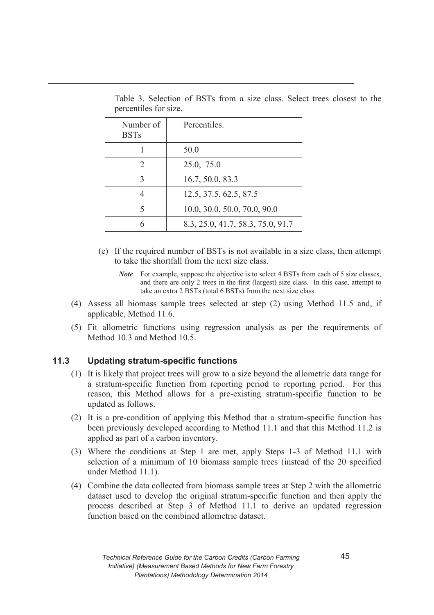| Number of<br><b>BSTs</b>    | Percentiles.                      |
|-----------------------------|-----------------------------------|
|                             | 50.0                              |
| $\mathcal{D}_{\mathcal{L}}$ | 25.0, 75.0                        |
| 3                           | 16.7, 50.0, 83.3                  |
| Δ                           | 12.5, 37.5, 62.5, 87.5            |
|                             | 10.0, 30.0, 50.0, 70.0, 90.0      |
|                             | 8.3, 25.0, 41.7, 58.3, 75.0, 91.7 |

 Table 3. Selection of BSTs from a size class. Select trees closest to the percentiles for size.

- (e) If the required number of BSTs is not available in a size class, then attempt to take the shortfall from the next size class.
	- *Note* For example, suppose the objective is to select 4 BSTs from each of 5 size classes, and there are only 2 trees in the first (largest) size class. In this case, attempt to take an extra 2 BSTs (total 6 BSTs) from the next size class.
- (4) Assess all biomass sample trees selected at step (2) using Method 11.5 and, if applicable, Method 11.6.
- (5) Fit allometric functions using regression analysis as per the requirements of Method 10.3 and Method 10.5.

### **11.3 Updating stratum-specific functions**

- (1) It is likely that project trees will grow to a size beyond the allometric data range for a stratum-specific function from reporting period to reporting period. For this reason, this Method allows for a pre-existing stratum-specific function to be updated as follows.
- (2) It is a pre-condition of applying this Method that a stratum-specific function has been previously developed according to Method 11.1 and that this Method 11.2 is applied as part of a carbon inventory.
- (3) Where the conditions at Step 1 are met, apply Steps 1-3 of Method 11.1 with selection of a minimum of 10 biomass sample trees (instead of the 20 specified under Method 11.1).
- (4) Combine the data collected from biomass sample trees at Step 2 with the allometric dataset used to develop the original stratum-specific function and then apply the process described at Step 3 of Method 11.1 to derive an updated regression function based on the combined allometric dataset.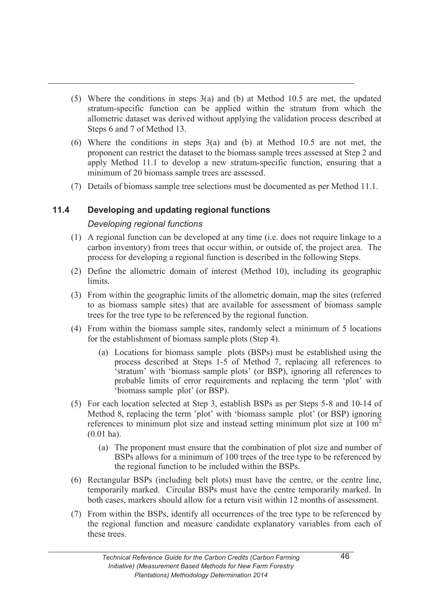- (5) Where the conditions in steps 3(a) and (b) at Method 10.5 are met, the updated stratum-specific function can be applied within the stratum from which the allometric dataset was derived without applying the validation process described at Steps 6 and 7 of Method 13.
- (6) Where the conditions in steps 3(a) and (b) at Method 10.5 are not met, the proponent can restrict the dataset to the biomass sample trees assessed at Step 2 and apply Method 11.1 to develop a new stratum-specific function, ensuring that a minimum of 20 biomass sample trees are assessed.
- (7) Details of biomass sample tree selections must be documented as per Method 11.1.

## **11.4 Developing and updating regional functions**

### *Developing regional functions*

- (1) A regional function can be developed at any time (i.e. does not require linkage to a carbon inventory) from trees that occur within, or outside of, the project area. The process for developing a regional function is described in the following Steps.
- (2) Define the allometric domain of interest (Method 10), including its geographic limits.
- (3) From within the geographic limits of the allometric domain, map the sites (referred to as biomass sample sites) that are available for assessment of biomass sample trees for the tree type to be referenced by the regional function.
- (4) From within the biomass sample sites, randomly select a minimum of 5 locations for the establishment of biomass sample plots (Step 4).
	- (a) Locations for biomass sample plots (BSPs) must be established using the process described at Steps 1-5 of Method 7, replacing all references to 'stratum' with 'biomass sample plots' (or BSP), ignoring all references to probable limits of error requirements and replacing the term 'plot' with 'biomass sample plot' (or BSP).
- (5) For each location selected at Step 3, establish BSPs as per Steps 5-8 and 10-14 of Method 8, replacing the term 'plot' with 'biomass sample plot' (or BSP) ignoring references to minimum plot size and instead setting minimum plot size at  $100 \text{ m}^2$ (0.01 ha).
	- (a) The proponent must ensure that the combination of plot size and number of BSPs allows for a minimum of 100 trees of the tree type to be referenced by the regional function to be included within the BSPs.
- (6) Rectangular BSPs (including belt plots) must have the centre, or the centre line, temporarily marked. Circular BSPs must have the centre temporarily marked. In both cases, markers should allow for a return visit within 12 months of assessment.
- (7) From within the BSPs, identify all occurrences of the tree type to be referenced by the regional function and measure candidate explanatory variables from each of these trees.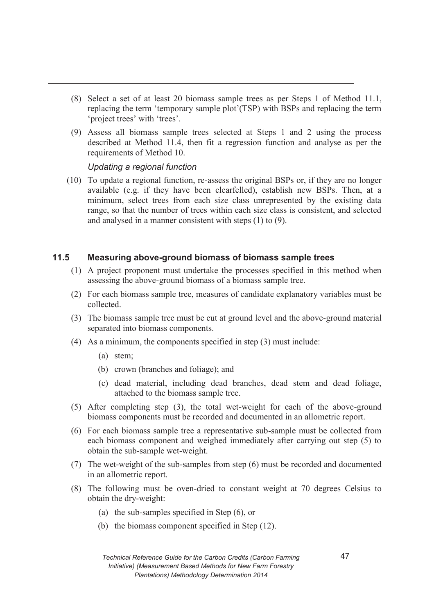- (8) Select a set of at least 20 biomass sample trees as per Steps 1 of Method 11.1, replacing the term 'temporary sample plot'(TSP) with BSPs and replacing the term 'project trees' with 'trees'.
- (9) Assess all biomass sample trees selected at Steps 1 and 2 using the process described at Method 11.4, then fit a regression function and analyse as per the requirements of Method 10.

#### *Updating a regional function*

 (10) To update a regional function, re-assess the original BSPs or, if they are no longer available (e.g. if they have been clearfelled), establish new BSPs. Then, at a minimum, select trees from each size class unrepresented by the existing data range, so that the number of trees within each size class is consistent, and selected and analysed in a manner consistent with steps (1) to (9).

#### **11.5 Measuring above-ground biomass of biomass sample trees**

- (1) A project proponent must undertake the processes specified in this method when assessing the above-ground biomass of a biomass sample tree.
- (2) For each biomass sample tree, measures of candidate explanatory variables must be collected.
- (3) The biomass sample tree must be cut at ground level and the above-ground material separated into biomass components.
- (4) As a minimum, the components specified in step (3) must include:
	- (a) stem;
	- (b) crown (branches and foliage); and
	- (c) dead material, including dead branches, dead stem and dead foliage, attached to the biomass sample tree.
- (5) After completing step (3), the total wet-weight for each of the above-ground biomass components must be recorded and documented in an allometric report.
- (6) For each biomass sample tree a representative sub-sample must be collected from each biomass component and weighed immediately after carrying out step (5) to obtain the sub-sample wet-weight.
- (7) The wet-weight of the sub-samples from step (6) must be recorded and documented in an allometric report.
- (8) The following must be oven-dried to constant weight at 70 degrees Celsius to obtain the dry-weight:
	- (a) the sub-samples specified in Step (6), or
	- (b) the biomass component specified in Step (12).

47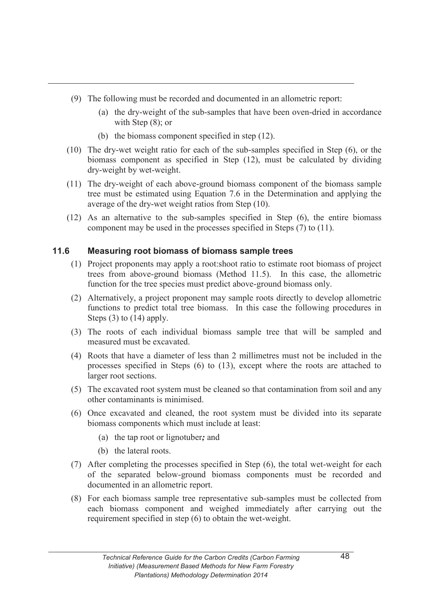- (9) The following must be recorded and documented in an allometric report:
	- (a) the dry-weight of the sub-samples that have been oven-dried in accordance with Step  $(8)$ ; or
	- (b) the biomass component specified in step (12).
- (10) The dry-wet weight ratio for each of the sub-samples specified in Step (6), or the biomass component as specified in Step (12), must be calculated by dividing dry-weight by wet-weight.
- (11) The dry-weight of each above-ground biomass component of the biomass sample tree must be estimated using Equation 7.6 in the Determination and applying the average of the dry-wet weight ratios from Step (10).
- (12) As an alternative to the sub-samples specified in Step (6), the entire biomass component may be used in the processes specified in Steps (7) to (11).

## **11.6 Measuring root biomass of biomass sample trees**

- (1) Project proponents may apply a root:shoot ratio to estimate root biomass of project trees from above-ground biomass (Method 11.5). In this case, the allometric function for the tree species must predict above-ground biomass only.
- (2) Alternatively, a project proponent may sample roots directly to develop allometric functions to predict total tree biomass. In this case the following procedures in Steps (3) to (14) apply.
- (3) The roots of each individual biomass sample tree that will be sampled and measured must be excavated.
- (4) Roots that have a diameter of less than 2 millimetres must not be included in the processes specified in Steps (6) to (13), except where the roots are attached to larger root sections.
- (5) The excavated root system must be cleaned so that contamination from soil and any other contaminants is minimised.
- (6) Once excavated and cleaned, the root system must be divided into its separate biomass components which must include at least:
	- (a) the tap root or lignotuber*;* and
	- (b) the lateral roots.
- (7) After completing the processes specified in Step (6), the total wet-weight for each of the separated below-ground biomass components must be recorded and documented in an allometric report.
- (8) For each biomass sample tree representative sub-samples must be collected from each biomass component and weighed immediately after carrying out the requirement specified in step (6) to obtain the wet-weight.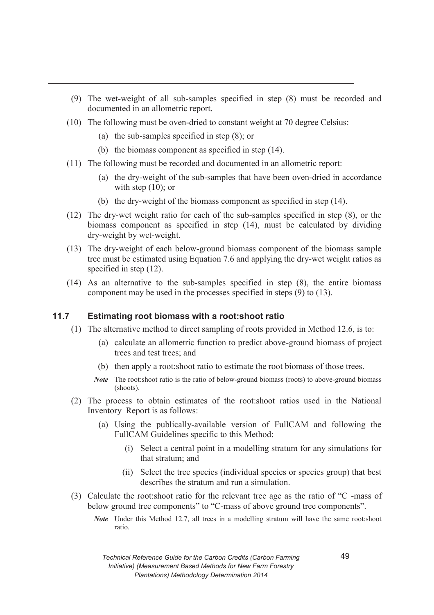- (9) The wet-weight of all sub-samples specified in step (8) must be recorded and documented in an allometric report.
- (10) The following must be oven-dried to constant weight at 70 degree Celsius:
	- (a) the sub-samples specified in step (8); or
	- (b) the biomass component as specified in step (14).
- (11) The following must be recorded and documented in an allometric report:
	- (a) the dry-weight of the sub-samples that have been oven-dried in accordance with step  $(10)$ ; or
	- (b) the dry-weight of the biomass component as specified in step (14).
- (12) The dry-wet weight ratio for each of the sub-samples specified in step (8), or the biomass component as specified in step (14), must be calculated by dividing dry-weight by wet-weight.
- (13) The dry-weight of each below-ground biomass component of the biomass sample tree must be estimated using Equation 7.6 and applying the dry-wet weight ratios as specified in step  $(12)$ .
- (14) As an alternative to the sub-samples specified in step (8), the entire biomass component may be used in the processes specified in steps (9) to (13).

### **11.7 Estimating root biomass with a root:shoot ratio**

- (1) The alternative method to direct sampling of roots provided in Method 12.6, is to:
	- (a) calculate an allometric function to predict above-ground biomass of project trees and test trees; and
	- (b) then apply a root:shoot ratio to estimate the root biomass of those trees.
	- *Note* The root:shoot ratio is the ratio of below-ground biomass (roots) to above-ground biomass (shoots).
- (2) The process to obtain estimates of the root:shoot ratios used in the National Inventory Report is as follows:
	- (a) Using the publically-available version of FullCAM and following the FullCAM Guidelines specific to this Method:
		- (i) Select a central point in a modelling stratum for any simulations for that stratum; and
		- (ii) Select the tree species (individual species or species group) that best describes the stratum and run a simulation.
- (3) Calculate the root:shoot ratio for the relevant tree age as the ratio of "C -mass of below ground tree components" to "C-mass of above ground tree components".
	- *Note* Under this Method 12.7, all trees in a modelling stratum will have the same root:shoot ratio.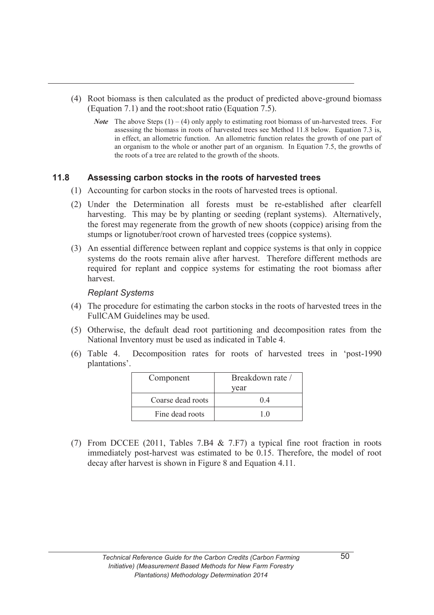- (4) Root biomass is then calculated as the product of predicted above-ground biomass (Equation 7.1) and the root:shoot ratio (Equation 7.5).
	- *Note* The above Steps (1) (4) only apply to estimating root biomass of un-harvested trees. For assessing the biomass in roots of harvested trees see Method 11.8 below. Equation 7.3 is, in effect, an allometric function. An allometric function relates the growth of one part of an organism to the whole or another part of an organism. In Equation 7.5, the growths of the roots of a tree are related to the growth of the shoots.

#### **11.8 Assessing carbon stocks in the roots of harvested trees**

- (1) Accounting for carbon stocks in the roots of harvested trees is optional.
- (2) Under the Determination all forests must be re-established after clearfell harvesting. This may be by planting or seeding (replant systems). Alternatively, the forest may regenerate from the growth of new shoots (coppice) arising from the stumps or lignotuber/root crown of harvested trees (coppice systems).
- (3) An essential difference between replant and coppice systems is that only in coppice systems do the roots remain alive after harvest. Therefore different methods are required for replant and coppice systems for estimating the root biomass after harvest.

#### *Replant Systems*

- (4) The procedure for estimating the carbon stocks in the roots of harvested trees in the FullCAM Guidelines may be used.
- (5) Otherwise, the default dead root partitioning and decomposition rates from the National Inventory must be used as indicated in Table 4.
- (6) Table 4. Decomposition rates for roots of harvested trees in 'post-1990 plantations'.

| Component         | Breakdown rate / |  |  |
|-------------------|------------------|--|--|
|                   | vear             |  |  |
| Coarse dead roots | 04               |  |  |
| Fine dead roots   | 10               |  |  |

 (7) From DCCEE (2011, Tables 7.B4 & 7.F7) a typical fine root fraction in roots immediately post-harvest was estimated to be 0.15. Therefore, the model of root decay after harvest is shown in Figure 8 and Equation 4.11.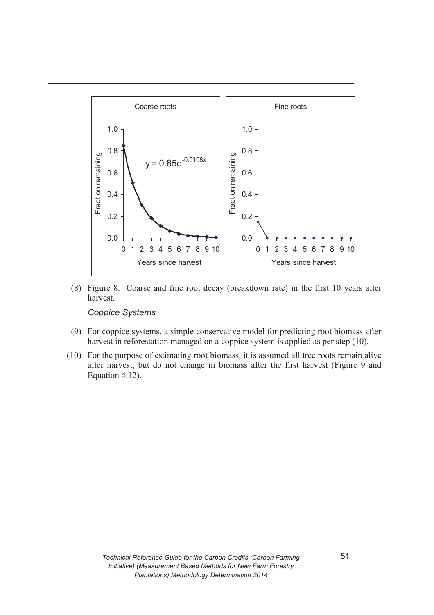

 (8) Figure 8. Coarse and fine root decay (breakdown rate) in the first 10 years after harvest.

#### *Coppice Systems*

- (9) For coppice systems, a simple conservative model for predicting root biomass after harvest in reforestation managed on a coppice system is applied as per step (10).
- (10) For the purpose of estimating root biomass, it is assumed all tree roots remain alive after harvest, but do not change in biomass after the first harvest (Figure 9 and Equation 4.12).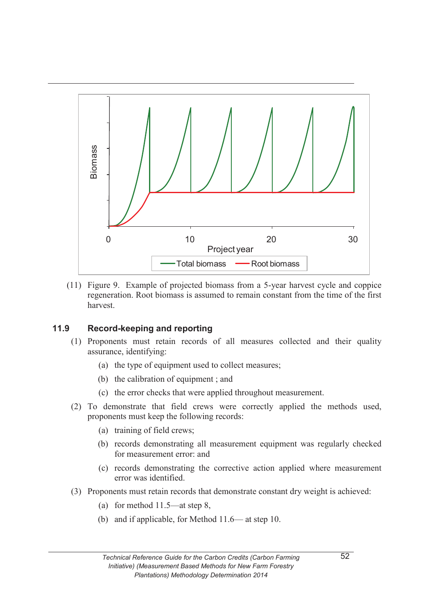

 (11) Figure 9. Example of projected biomass from a 5-year harvest cycle and coppice regeneration. Root biomass is assumed to remain constant from the time of the first harvest.

### **11.9 Record-keeping and reporting**

- (1) Proponents must retain records of all measures collected and their quality assurance, identifying:
	- (a) the type of equipment used to collect measures;
	- (b) the calibration of equipment ; and
	- (c) the error checks that were applied throughout measurement.
- (2) To demonstrate that field crews were correctly applied the methods used, proponents must keep the following records:
	- (a) training of field crews;
	- (b) records demonstrating all measurement equipment was regularly checked for measurement error: and
	- (c) records demonstrating the corrective action applied where measurement error was identified.
- (3) Proponents must retain records that demonstrate constant dry weight is achieved:
	- (a) for method 11.5—at step 8,
	- (b) and if applicable, for Method 11.6— at step 10.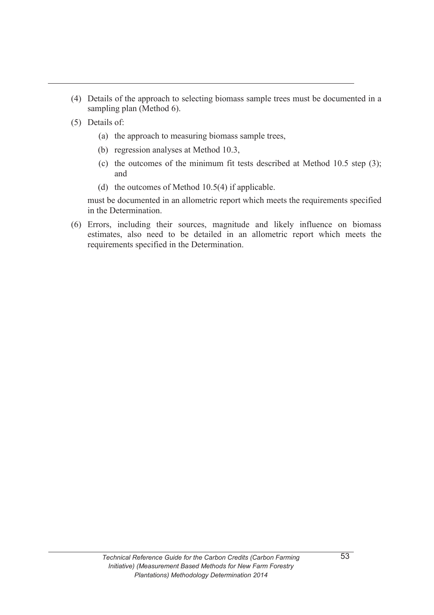- (4) Details of the approach to selecting biomass sample trees must be documented in a sampling plan (Method 6).
- (5) Details of:
	- (a) the approach to measuring biomass sample trees,
	- (b) regression analyses at Method 10.3,
	- (c) the outcomes of the minimum fit tests described at Method 10.5 step (3); and
	- (d) the outcomes of Method  $10.5(4)$  if applicable.

 must be documented in an allometric report which meets the requirements specified in the Determination.

 (6) Errors, including their sources, magnitude and likely influence on biomass estimates, also need to be detailed in an allometric report which meets the requirements specified in the Determination.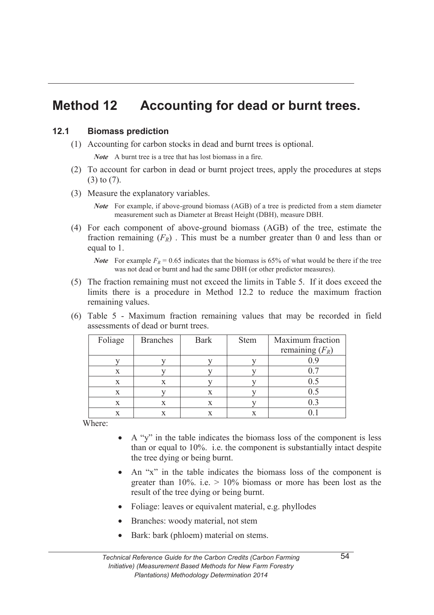## **Method 12 Accounting for dead or burnt trees.**

#### **12.1 Biomass prediction**

(1) Accounting for carbon stocks in dead and burnt trees is optional.

*Note* A burnt tree is a tree that has lost biomass in a fire.

- (2) To account for carbon in dead or burnt project trees, apply the procedures at steps (3) to (7).
- (3) Measure the explanatory variables.

*Note* For example, if above-ground biomass (AGB) of a tree is predicted from a stem diameter measurement such as Diameter at Breast Height (DBH), measure DBH.

 (4) For each component of above-ground biomass (AGB) of the tree, estimate the fraction remaining  $(F_R)$ . This must be a number greater than 0 and less than or equal to 1.

*Note* For example  $F_R = 0.65$  indicates that the biomass is 65% of what would be there if the tree was not dead or burnt and had the same DBH (or other predictor measures).

- (5) The fraction remaining must not exceed the limits in Table 5. If it does exceed the limits there is a procedure in Method 12.2 to reduce the maximum fraction remaining values.
- (6) Table 5 Maximum fraction remaining values that may be recorded in field assessments of dead or burnt trees.

| Foliage | <b>Branches</b> | <b>Bark</b> | Stem | Maximum fraction  |
|---------|-----------------|-------------|------|-------------------|
|         |                 |             |      | remaining $(F_R)$ |
|         |                 |             |      |                   |
| x       |                 |             |      |                   |
| X       |                 |             |      |                   |
| X       |                 |             |      |                   |
| X       |                 | X           |      |                   |
|         |                 |             |      |                   |

Where:

- · A "y" in the table indicates the biomass loss of the component is less than or equal to 10%. i.e. the component is substantially intact despite the tree dying or being burnt.
- An "x" in the table indicates the biomass loss of the component is greater than  $10\%$ . i.e.  $> 10\%$  biomass or more has been lost as the result of the tree dying or being burnt.
- Foliage: leaves or equivalent material, e.g. phyllodes
- Branches: woody material, not stem
- Bark: bark (phloem) material on stems.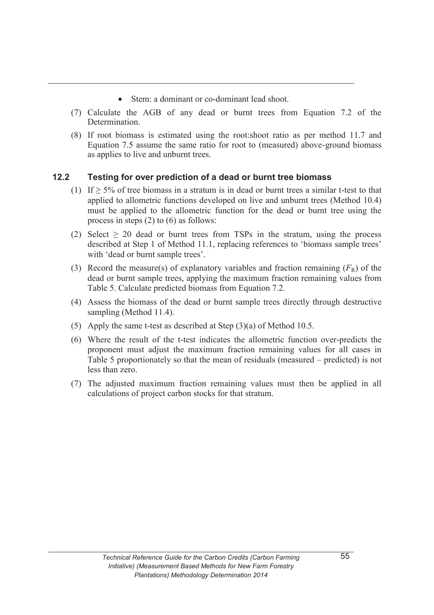- Stem: a dominant or co-dominant lead shoot.
- (7) Calculate the AGB of any dead or burnt trees from Equation 7.2 of the Determination.
- (8) If root biomass is estimated using the root:shoot ratio as per method 11.7 and Equation 7.5 assume the same ratio for root to (measured) above-ground biomass as applies to live and unburnt trees.

## **12.2 Testing for over prediction of a dead or burnt tree biomass**

- (1) If  $\geq$  5% of tree biomass in a stratum is in dead or burnt trees a similar t-test to that applied to allometric functions developed on live and unburnt trees (Method 10.4) must be applied to the allometric function for the dead or burnt tree using the process in steps (2) to (6) as follows:
- (2) Select  $\geq$  20 dead or burnt trees from TSPs in the stratum, using the process described at Step 1 of Method 11.1, replacing references to 'biomass sample trees' with 'dead or burnt sample trees'.
- (3) Record the measure(s) of explanatory variables and fraction remaining  $(F_R)$  of the dead or burnt sample trees, applying the maximum fraction remaining values from Table 5. Calculate predicted biomass from Equation 7.2.
- (4) Assess the biomass of the dead or burnt sample trees directly through destructive sampling (Method 11.4).
- (5) Apply the same t-test as described at Step (3)(a) of Method 10.5.
- (6) Where the result of the t-test indicates the allometric function over-predicts the proponent must adjust the maximum fraction remaining values for all cases in Table 5 proportionately so that the mean of residuals (measured – predicted) is not less than zero.
- (7) The adjusted maximum fraction remaining values must then be applied in all calculations of project carbon stocks for that stratum.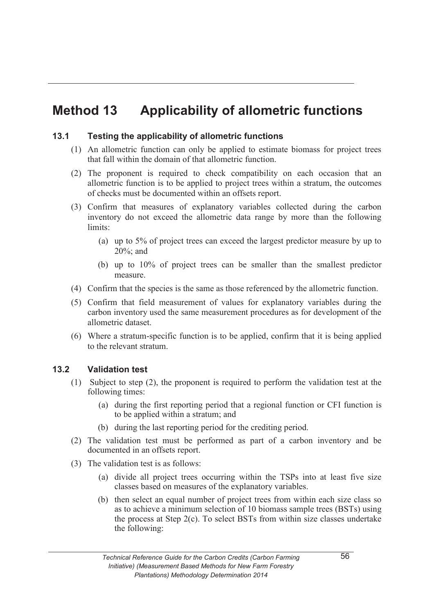# **Method 13 Applicability of allometric functions**

### **13.1 Testing the applicability of allometric functions**

- (1) An allometric function can only be applied to estimate biomass for project trees that fall within the domain of that allometric function.
- (2) The proponent is required to check compatibility on each occasion that an allometric function is to be applied to project trees within a stratum, the outcomes of checks must be documented within an offsets report.
- (3) Confirm that measures of explanatory variables collected during the carbon inventory do not exceed the allometric data range by more than the following limits:
	- (a) up to 5% of project trees can exceed the largest predictor measure by up to 20%; and
	- (b) up to 10% of project trees can be smaller than the smallest predictor measure.
- (4) Confirm that the species is the same as those referenced by the allometric function.
- (5) Confirm that field measurement of values for explanatory variables during the carbon inventory used the same measurement procedures as for development of the allometric dataset.
- (6) Where a stratum-specific function is to be applied, confirm that it is being applied to the relevant stratum.

### **13.2 Validation test**

- (1) Subject to step (2), the proponent is required to perform the validation test at the following times:
	- (a) during the first reporting period that a regional function or CFI function is to be applied within a stratum; and
	- (b) during the last reporting period for the crediting period.
- (2) The validation test must be performed as part of a carbon inventory and be documented in an offsets report.
- (3) The validation test is as follows:
	- (a) divide all project trees occurring within the TSPs into at least five size classes based on measures of the explanatory variables.
	- (b) then select an equal number of project trees from within each size class so as to achieve a minimum selection of 10 biomass sample trees (BSTs) using the process at Step 2(c). To select BSTs from within size classes undertake the following: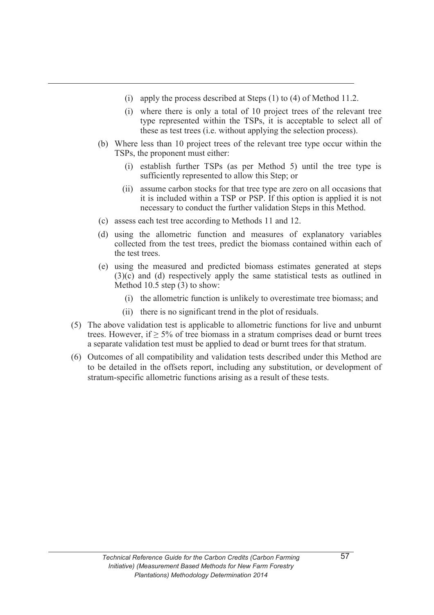- (i) apply the process described at Steps (1) to (4) of Method 11.2.
- (i) where there is only a total of 10 project trees of the relevant tree type represented within the TSPs, it is acceptable to select all of these as test trees (i.e. without applying the selection process).
- (b) Where less than 10 project trees of the relevant tree type occur within the TSPs, the proponent must either:
	- (i) establish further TSPs (as per Method 5) until the tree type is sufficiently represented to allow this Step; or
	- (ii) assume carbon stocks for that tree type are zero on all occasions that it is included within a TSP or PSP. If this option is applied it is not necessary to conduct the further validation Steps in this Method.
- (c) assess each test tree according to Methods 11 and 12.
- (d) using the allometric function and measures of explanatory variables collected from the test trees, predict the biomass contained within each of the test trees.
- (e) using the measured and predicted biomass estimates generated at steps (3)(c) and (d) respectively apply the same statistical tests as outlined in Method 10.5 step (3) to show:
	- (i) the allometric function is unlikely to overestimate tree biomass; and
	- (ii) there is no significant trend in the plot of residuals.
- (5) The above validation test is applicable to allometric functions for live and unburnt trees. However, if  $\geq$  5% of tree biomass in a stratum comprises dead or burnt trees a separate validation test must be applied to dead or burnt trees for that stratum.
- (6) Outcomes of all compatibility and validation tests described under this Method are to be detailed in the offsets report, including any substitution, or development of stratum-specific allometric functions arising as a result of these tests.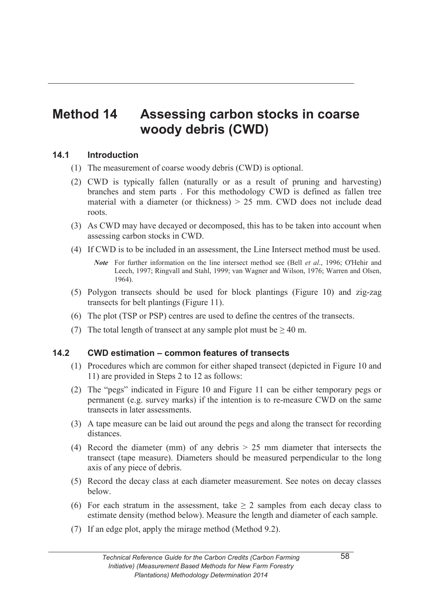## **Method 14 Assessing carbon stocks in coarse woody debris (CWD)**

## **14.1 Introduction**

- (1) The measurement of coarse woody debris (CWD) is optional.
- (2) CWD is typically fallen (naturally or as a result of pruning and harvesting) branches and stem parts . For this methodology CWD is defined as fallen tree material with a diameter (or thickness)  $> 25$  mm. CWD does not include dead roots.
- (3) As CWD may have decayed or decomposed, this has to be taken into account when assessing carbon stocks in CWD.
- (4) If CWD is to be included in an assessment, the Line Intersect method must be used.
	- *Note* For further information on the line intersect method see (Bell *et al*., 1996; O'Hehir and Leech, 1997; Ringvall and Stahl, 1999; van Wagner and Wilson, 1976; Warren and Olsen, 1964).
- (5) Polygon transects should be used for block plantings (Figure 10) and zig-zag transects for belt plantings (Figure 11).
- (6) The plot (TSP or PSP) centres are used to define the centres of the transects.
- (7) The total length of transect at any sample plot must be  $\geq 40$  m.

### **14.2 CWD estimation – common features of transects**

- (1) Procedures which are common for either shaped transect (depicted in Figure 10 and 11) are provided in Steps 2 to 12 as follows:
- (2) The "pegs" indicated in Figure 10 and Figure 11 can be either temporary pegs or permanent (e.g. survey marks) if the intention is to re-measure CWD on the same transects in later assessments.
- (3) A tape measure can be laid out around the pegs and along the transect for recording distances.
- (4) Record the diameter (mm) of any debris > 25 mm diameter that intersects the transect (tape measure). Diameters should be measured perpendicular to the long axis of any piece of debris.
- (5) Record the decay class at each diameter measurement. See notes on decay classes below.
- (6) For each stratum in the assessment, take  $\geq 2$  samples from each decay class to estimate density (method below). Measure the length and diameter of each sample.
- (7) If an edge plot, apply the mirage method (Method 9.2).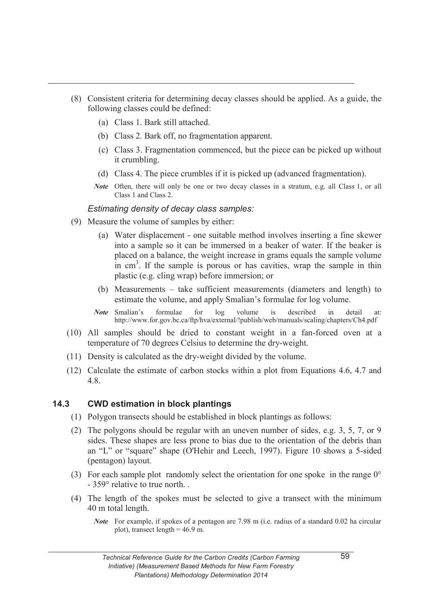- (8) Consistent criteria for determining decay classes should be applied. As a guide, the following classes could be defined:
	- (a) Class 1. Bark still attached.
	- (b) Class 2. Bark off, no fragmentation apparent.
	- (c) Class 3. Fragmentation commenced, but the piece can be picked up without it crumbling.
	- (d) Class 4. The piece crumbles if it is picked up (advanced fragmentation).
	- *Note* Often, there will only be one or two decay classes in a stratum, e.g. all Class 1, or all Class 1 and Class 2.

#### *Estimating density of decay class samples:*

- (9) Measure the volume of samples by either:
	- (a) Water displacement one suitable method involves inserting a fine skewer into a sample so it can be immersed in a beaker of water. If the beaker is placed on a balance, the weight increase in grams equals the sample volume in  $cm<sup>3</sup>$ . If the sample is porous or has cavities, wrap the sample in thin plastic (e.g. cling wrap) before immersion; or
	- (b) Measurements take sufficient measurements (diameters and length) to estimate the volume, and apply Smalian's formulae for log volume.
	- *Note* Smalian's formulae for log volume is described in detail at: http://www.for.gov.bc.ca/ftp/hva/external/!publish/web/manuals/scaling/chapters/Ch4.pdf
- (10) All samples should be dried to constant weight in a fan-forced oven at a temperature of 70 degrees Celsius to determine the dry-weight.
- (11) Density is calculated as the dry-weight divided by the volume.
- (12) Calculate the estimate of carbon stocks within a plot from Equations 4.6, 4.7 and 4.8.

#### **14.3 CWD estimation in block plantings**

- (1) Polygon transects should be established in block plantings as follows:
- (2) The polygons should be regular with an uneven number of sides, e.g. 3, 5, 7, or 9 sides. These shapes are less prone to bias due to the orientation of the debris than an "L" or "square" shape (O'Hehir and Leech, 1997). Figure 10 shows a 5-sided (pentagon) layout.
- (3) For each sample plot randomly select the orientation for one spoke in the range  $0^{\circ}$ - 359° relative to true north. .
- (4) The length of the spokes must be selected to give a transect with the minimum 40 m total length.
	- *Note* For example, if spokes of a pentagon are 7.98 m (i.e. radius of a standard 0.02 ha circular plot), transect length  $= 46.9$  m.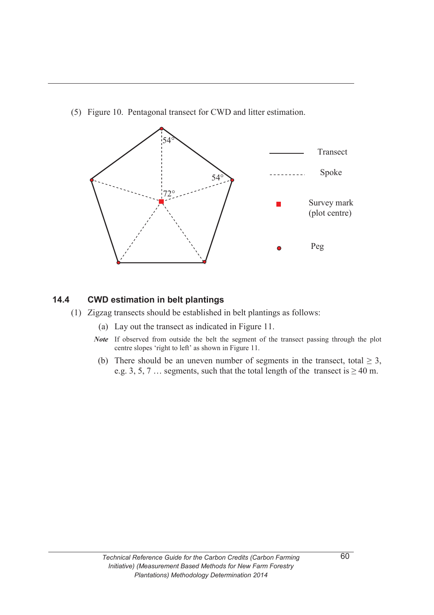

(5) Figure 10. Pentagonal transect for CWD and litter estimation.

#### **14.4 CWD estimation in belt plantings**

- (1) Zigzag transects should be established in belt plantings as follows:
	- (a) Lay out the transect as indicated in Figure 11.
	- *Note* If observed from outside the belt the segment of the transect passing through the plot centre slopes 'right to left' as shown in Figure 11.
	- (b) There should be an uneven number of segments in the transect, total  $\geq 3$ , e.g. 3, 5, 7 … segments, such that the total length of the transect is  $\geq 40$  m.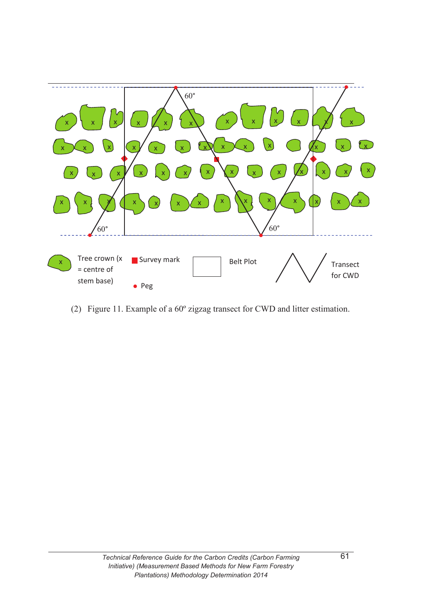

(2) Figure 11. Example of a 60º zigzag transect for CWD and litter estimation.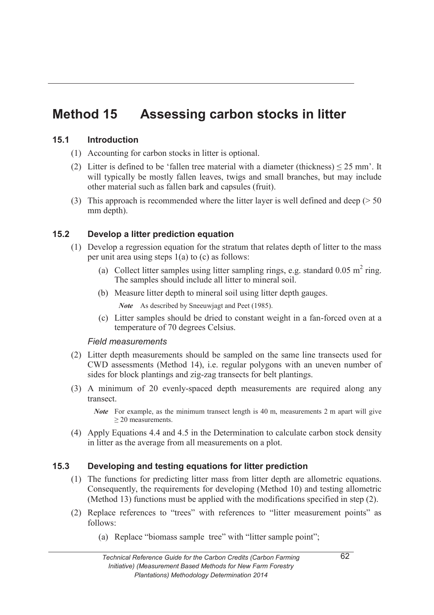# **Method 15 Assessing carbon stocks in litter**

#### **15.1 Introduction**

- (1) Accounting for carbon stocks in litter is optional.
- (2) Litter is defined to be 'fallen tree material with a diameter (thickness)  $\leq$  25 mm'. It will typically be mostly fallen leaves, twigs and small branches, but may include other material such as fallen bark and capsules (fruit).
- (3) This approach is recommended where the litter layer is well defined and deep (> 50 mm depth).

### **15.2 Develop a litter prediction equation**

- (1) Develop a regression equation for the stratum that relates depth of litter to the mass per unit area using steps 1(a) to (c) as follows:
- (a) Collect litter samples using litter sampling rings, e.g. standard  $0.05 \text{ m}^2$  ring. The samples should include all litter to mineral soil.
	- (b) Measure litter depth to mineral soil using litter depth gauges.
		- *Note* As described by Sneeuwjagt and Peet (1985).
	- (c) Litter samples should be dried to constant weight in a fan-forced oven at a temperature of 70 degrees Celsius.

#### *Field measurements*

- (2) Litter depth measurements should be sampled on the same line transects used for CWD assessments (Method 14), i.e. regular polygons with an uneven number of sides for block plantings and zig-zag transects for belt plantings.
- (3) A minimum of 20 evenly-spaced depth measurements are required along any transect.

*Note* For example, as the minimum transect length is 40 m, measurements 2 m apart will give  $\geq$  20 measurements.

 (4) Apply Equations 4.4 and 4.5 in the Determination to calculate carbon stock density in litter as the average from all measurements on a plot.

### **15.3 Developing and testing equations for litter prediction**

- (1) The functions for predicting litter mass from litter depth are allometric equations. Consequently, the requirements for developing (Method 10) and testing allometric (Method 13) functions must be applied with the modifications specified in step (2).
- (2) Replace references to "trees" with references to "litter measurement points" as follows:
	- (a) Replace "biomass sample tree" with "litter sample point";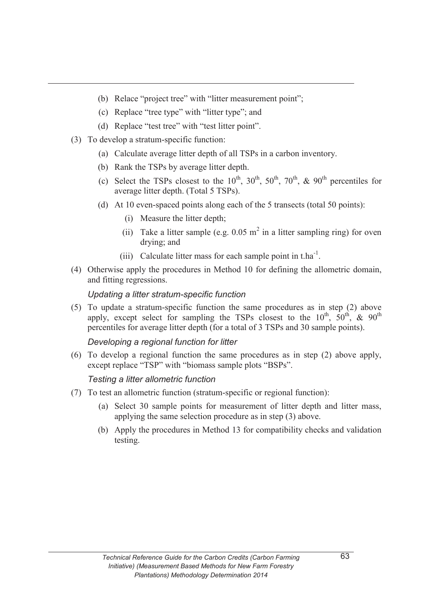- (b) Relace "project tree" with "litter measurement point";
- (c) Replace "tree type" with "litter type"; and
- (d) Replace "test tree" with "test litter point".
- (3) To develop a stratum-specific function:
	- (a) Calculate average litter depth of all TSPs in a carbon inventory.
	- (b) Rank the TSPs by average litter depth.
	- (c) Select the TSPs closest to the 10<sup>th</sup>, 30<sup>th</sup>, 50<sup>th</sup>, 70<sup>th</sup>, & 90<sup>th</sup> percentiles for average litter depth. (Total 5 TSPs).
	- (d) At 10 even-spaced points along each of the 5 transects (total 50 points):
		- (i) Measure the litter depth;
- (ii) Take a litter sample (e.g.  $0.05 \text{ m}^2$  in a litter sampling ring) for oven drying; and
- (iii) Calculate litter mass for each sample point in  $t.ha^{-1}$ .
	- (4) Otherwise apply the procedures in Method 10 for defining the allometric domain, and fitting regressions.

#### *Updating a litter stratum-specific function*

 (5) To update a stratum-specific function the same procedures as in step (2) above apply, except select for sampling the TSPs closest to the  $10^{th}$ ,  $50^{th}$ ,  $\&$  90<sup>th</sup> percentiles for average litter depth (for a total of 3 TSPs and 30 sample points).

#### *Developing a regional function for litter*

 (6) To develop a regional function the same procedures as in step (2) above apply, except replace "TSP" with "biomass sample plots "BSPs".

### *Testing a litter allometric function*

- (7) To test an allometric function (stratum-specific or regional function):
	- (a) Select 30 sample points for measurement of litter depth and litter mass, applying the same selection procedure as in step (3) above.
	- (b) Apply the procedures in Method 13 for compatibility checks and validation testing.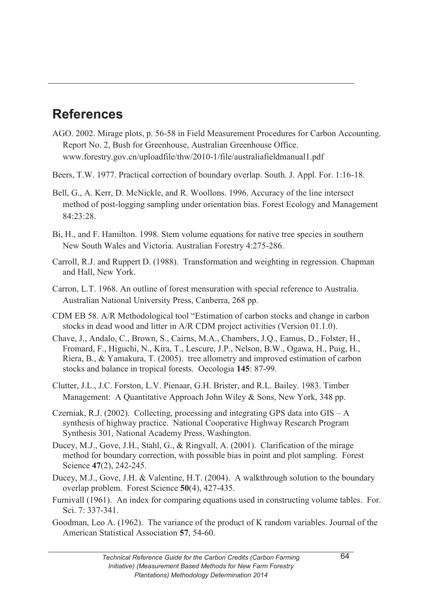## **References**

- AGO. 2002. Mirage plots, p. 56-58 in Field Measurement Procedures for Carbon Accounting. Report No. 2, Bush for Greenhouse, Australian Greenhouse Office. www.forestry.gov.cn/uploadfile/thw/2010-1/file/australiafieldmanual1.pdf
- Beers, T.W. 1977. Practical correction of boundary overlap. South. J. Appl. For. 1:16-18.
- Bell, G., A. Kerr, D. McNickle, and R. Woollons. 1996. Accuracy of the line intersect method of post-logging sampling under orientation bias. Forest Ecology and Management 84:23:28.
- Bi, H., and F. Hamilton. 1998. Stem volume equations for native tree species in southern New South Wales and Victoria. Australian Forestry 4:275-286.
- Carroll, R.J. and Ruppert D. (1988). Transformation and weighting in regression. Chapman and Hall, New York.
- Carron, L.T. 1968. An outline of forest mensuration with special reference to Australia. Australian National University Press, Canberra, 268 pp.
- CDM EB 58. A/R Methodological tool "Estimation of carbon stocks and change in carbon stocks in dead wood and litter in A/R CDM project activities (Version 01.1.0).
- Chave, J., Andalo, C., Brown, S., Cairns, M.A., Chambers, J.Q., Eamus, D., Folster, H., Fromard, F., Higuchi, N., Kira, T., Lescure, J.P., Nelson, B.W., Ogawa, H., Puig, H., Riera, B., & Yamakura, T. (2005). tree allometry and improved estimation of carbon stocks and balance in tropical forests. Oecologia **145**: 87-99.
- Clutter, J.L., J.C. Forston, L.V. Pienaar, G.H. Brister, and R.L. Bailey. 1983. Timber Management: A Quantitative Approach John Wiley & Sons, New York, 348 pp.
- Czerniak, R.J. (2002). Collecting, processing and integrating GPS data into  $\text{GIS} \text{A}$ synthesis of highway practice. National Cooperative Highway Research Program Synthesis 301, National Academy Press, Washington.
- Ducey, M.J., Gove, J.H., Stahl, G., & Ringvall, A. (2001). Clarification of the mirage method for boundary correction, with possible bias in point and plot sampling. Forest Science **47**(2), 242-245.
- Ducey, M.J., Gove, J.H. & Valentine, H.T. (2004). A walkthrough solution to the boundary overlap problem. Forest Science **50**(4), 427-435.
- Furnivall (1961). An index for comparing equations used in constructing volume tables. For. Sci. 7: 337-341.
- Goodman, Leo A. (1962). The variance of the product of K random variables. Journal of the American Statistical Association **57**, 54-60.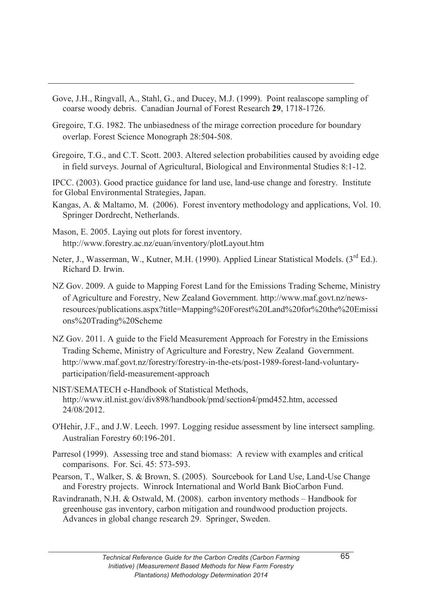- Gove, J.H., Ringvall, A., Stahl, G., and Ducey, M.J. (1999). Point realascope sampling of coarse woody debris. Canadian Journal of Forest Research **29**, 1718-1726.
- Gregoire, T.G. 1982. The unbiasedness of the mirage correction procedure for boundary overlap. Forest Science Monograph 28:504-508.
- Gregoire, T.G., and C.T. Scott. 2003. Altered selection probabilities caused by avoiding edge in field surveys. Journal of Agricultural, Biological and Environmental Studies 8:1-12.

IPCC. (2003). Good practice guidance for land use, land-use change and forestry. Institute for Global Environmental Strategies, Japan.

- Kangas, A. & Maltamo, M. (2006). Forest inventory methodology and applications, Vol. 10. Springer Dordrecht, Netherlands.
- Mason, E. 2005. Laying out plots for forest inventory. http://www.forestry.ac.nz/euan/inventory/plotLayout.htm
- Neter, J., Wasserman, W., Kutner, M.H. (1990). Applied Linear Statistical Models. (3<sup>rd</sup> Ed.). Richard D. Irwin.
- NZ Gov. 2009. A guide to Mapping Forest Land for the Emissions Trading Scheme, Ministry of Agriculture and Forestry, New Zealand Government. http://www.maf.govt.nz/newsresources/publications.aspx?title=Mapping%20Forest%20Land%20for%20the%20Emissi ons%20Trading%20Scheme
- NZ Gov. 2011. A guide to the Field Measurement Approach for Forestry in the Emissions Trading Scheme, Ministry of Agriculture and Forestry, New Zealand Government. http://www.maf.govt.nz/forestry/forestry-in-the-ets/post-1989-forest-land-voluntaryparticipation/field-measurement-approach
- NIST/SEMATECH e-Handbook of Statistical Methods, http://www.itl.nist.gov/div898/handbook/pmd/section4/pmd452.htm, accessed 24/08/2012.
- O'Hehir, J.F., and J.W. Leech. 1997. Logging residue assessment by line intersect sampling. Australian Forestry 60:196-201.
- Parresol (1999). Assessing tree and stand biomass: A review with examples and critical comparisons. For. Sci. 45: 573-593.
- Pearson, T., Walker, S. & Brown, S. (2005). Sourcebook for Land Use, Land-Use Change and Forestry projects. Winrock International and World Bank BioCarbon Fund.
- Ravindranath, N.H. & Ostwald, M. (2008). carbon inventory methods Handbook for greenhouse gas inventory, carbon mitigation and roundwood production projects. Advances in global change research 29. Springer, Sweden.